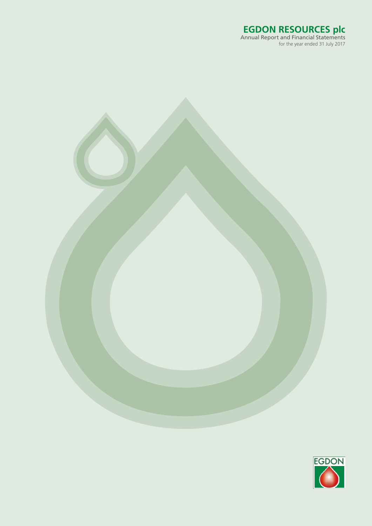



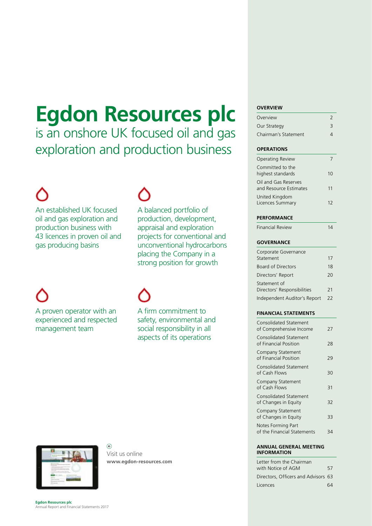# **Egdon Resources plc** is an onshore UK focused oil and gas

exploration and production business

An established UK focused oil and gas exploration and production business with 43 licences in proven oil and gas producing basins

A balanced portfolio of production, development, appraisal and exploration projects for conventional and unconventional hydrocarbons placing the Company in a strong position for growth

A proven operator with an experienced and respected management team

A firm commitment to safety, environmental and social responsibility in all aspects of its operations

#### **OVERVIEW**

| Overview                                               | 2              |
|--------------------------------------------------------|----------------|
| Our Strategy                                           | 3              |
| Chairman's Statement                                   | 4              |
| <b>OPERATIONS</b>                                      |                |
| <b>Operating Review</b>                                | $\overline{7}$ |
| Committed to the<br>highest standards                  | 10             |
| Oil and Gas Reserves<br>and Resource Estimates         | 11             |
| United Kingdom<br>Licences Summary                     | 12             |
| <b>PERFORMANCE</b>                                     |                |
| <b>Financial Review</b>                                | 14             |
| <b>GOVERNANCE</b>                                      |                |
| Corporate Governance<br>Statement                      | 17             |
| <b>Board of Directors</b>                              | 18             |
| Directors' Report                                      | 20             |
| Statement of<br>Directors' Responsibilities            | 21             |
| Independent Auditor's Report                           | 22             |
| <b>FINANCIAL STATEMENTS</b>                            |                |
| Consolidated Statement<br>of Comprehensive Income      | 27             |
| <b>Consolidated Statement</b><br>of Financial Position | 28             |
| Company Statement<br>of Financial Position             | 29             |
| <b>Consolidated Statement</b><br>of Cash Flows         | 30             |
| Company Statement<br>of Cash Flows                     | 31             |
| <b>Consolidated Statement</b><br>of Changes in Equity  | 32             |
| Company Statement<br>of Changes in Equity              | 33             |
| Notes Forming Part<br>of the Financial Statements      | 34             |

#### **ANNUAL GENERAL MEETING INFORMATION**

| Letter from the Chairman            |    |  |  |
|-------------------------------------|----|--|--|
| with Notice of AGM                  | 57 |  |  |
| Directors, Officers and Advisors 63 |    |  |  |
| Licences                            | 64 |  |  |



Visit us online **www.egdon-resources.com**

 $\mathbf{C}$ 

**Egdon Resources plc**  Annual Report and Financial Statements 2017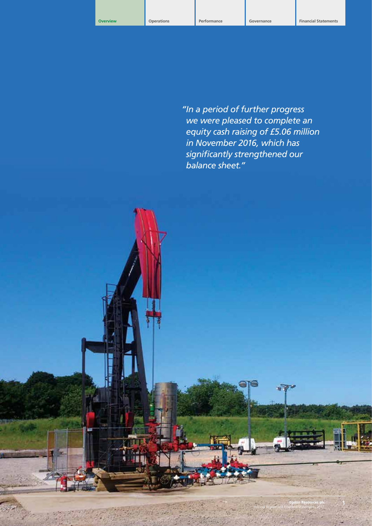**Egdon Resources plc** 

**1**

Annual Report and Financial Statements 2017

*"In a period of further progress we were pleased to complete an equity cash raising of £5.06 million in November 2016, which has significantly strengthened our balance sheet."*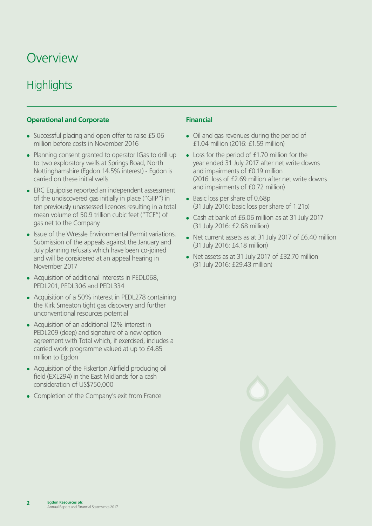## **Overview**

### **Highlights**

#### **Operational and Corporate**

- Successful placing and open offer to raise £5.06 million before costs in November 2016
- Planning consent granted to operator IGas to drill up to two exploratory wells at Springs Road, North Nottinghamshire (Egdon 14.5% interest) - Egdon is carried on these initial wells
- ERC Equipoise reported an independent assessment of the undiscovered gas initially in place ("GIIP") in ten previously unassessed licences resulting in a total mean volume of 50.9 trillion cubic feet ("TCF") of gas net to the Company
- Issue of the Wressle Environmental Permit variations. Submission of the appeals against the January and July planning refusals which have been co-joined and will be considered at an appeal hearing in November 2017
- Acquisition of additional interests in PEDL068, PEDL201, PEDL306 and PEDL334
- Acquisition of a 50% interest in PEDL278 containing the Kirk Smeaton tight gas discovery and further unconventional resources potential
- Acquisition of an additional 12% interest in PEDL209 (deep) and signature of a new option agreement with Total which, if exercised, includes a carried work programme valued at up to £4.85 million to Egdon
- Acquisition of the Fiskerton Airfield producing oil field (EXL294) in the East Midlands for a cash consideration of US\$750,000
- Completion of the Company's exit from France

#### **Financial**

- Oil and gas revenues during the period of £1.04 million (2016: £1.59 million)
- Loss for the period of £1.70 million for the year ended 31 July 2017 after net write downs and impairments of £0.19 million (2016: loss of £2.69 million after net write downs and impairments of £0.72 million)
- Basic loss per share of 0.68p (31 July 2016: basic loss per share of 1.21p)
- Cash at bank of £6.06 million as at 31 July 2017 (31 July 2016: £2.68 million)
- Net current assets as at 31 July 2017 of £6.40 million (31 July 2016: £4.18 million)
- Net assets as at 31 July 2017 of £32.70 million (31 July 2016: £29.43 million)

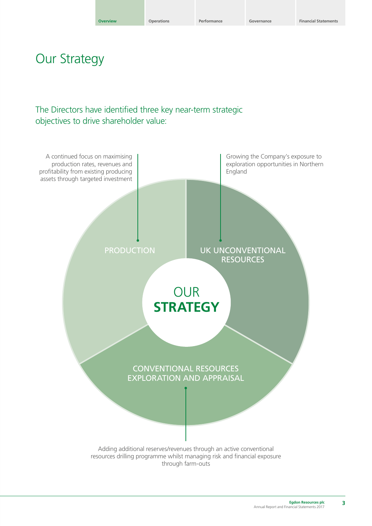### Our Strategy

The Directors have identified three key near-term strategic objectives to drive shareholder value:

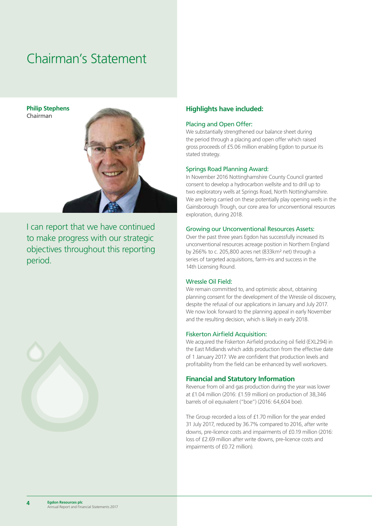## Chairman's Statement

**Philip Stephens** Chairman



I can report that we have continued to make progress with our strategic objectives throughout this reporting period.



#### **Highlights have included:**

#### Placing and Open Offer:

We substantially strengthened our balance sheet during the period through a placing and open offer which raised gross proceeds of £5.06 million enabling Egdon to pursue its stated strategy.

#### Springs Road Planning Award:

In November 2016 Nottinghamshire County Council granted consent to develop a hydrocarbon wellsite and to drill up to two exploratory wells at Springs Road, North Nottinghamshire. We are being carried on these potentially play opening wells in the Gainsborough Trough, our core area for unconventional resources exploration, during 2018.

#### Growing our Unconventional Resources Assets:

Over the past three years Egdon has successfully increased its unconventional resources acreage position in Northern England by 266% to c. 205,800 acres net (833km² net) through a series of targeted acquisitions, farm-ins and success in the 14th Licensing Round.

#### Wressle Oil Field:

We remain committed to, and optimistic about, obtaining planning consent for the development of the Wressle oil discovery, despite the refusal of our applications in January and July 2017. We now look forward to the planning appeal in early November and the resulting decision, which is likely in early 2018.

#### Fiskerton Airfield Acquisition:

We acquired the Fiskerton Airfield producing oil field (EXL294) in the East Midlands which adds production from the effective date of 1 January 2017. We are confident that production levels and profitability from the field can be enhanced by well workovers.

#### **Financial and Statutory Information**

Revenue from oil and gas production during the year was lower at £1.04 million (2016: £1.59 million) on production of 38,346 barrels of oil equivalent ("boe") (2016: 64,604 boe).

The Group recorded a loss of £1.70 million for the year ended 31 July 2017, reduced by 36.7% compared to 2016, after write downs, pre-licence costs and impairments of £0.19 million (2016: loss of £2.69 million after write downs, pre-licence costs and impairments of £0.72 million).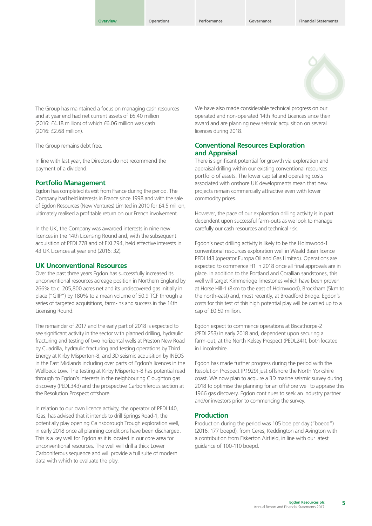

The Group has maintained a focus on managing cash resources and at year end had net current assets of £6.40 million (2016: £4.18 million) of which £6.06 million was cash (2016: £2.68 million).

The Group remains debt free.

In line with last year, the Directors do not recommend the payment of a dividend.

#### **Portfolio Management**

Egdon has completed its exit from France during the period. The Company had held interests in France since 1998 and with the sale of Egdon Resources (New Ventures) Limited in 2010 for £4.5 million, ultimately realised a profitable return on our French involvement.

In the UK, the Company was awarded interests in nine new licences in the 14th Licensing Round and, with the subsequent acquisition of PEDL278 and of EXL294, held effective interests in 43 UK Licences at year end (2016: 32).

#### **UK Unconventional Resources**

Over the past three years Egdon has successfully increased its unconventional resources acreage position in Northern England by 266% to c. 205,800 acres net and its undiscovered gas initially in place ("GIIP") by 180% to a mean volume of 50.9 TCF through a series of targeted acquisitions, farm-ins and success in the 14th Licensing Round.

The remainder of 2017 and the early part of 2018 is expected to see significant activity in the sector with planned drilling, hydraulic fracturing and testing of two horizontal wells at Preston New Road by Cuadrilla, hydraulic fracturing and testing operations by Third Energy at Kirby Misperton-8, and 3D seismic acquisition by INEOS in the East Midlands including over parts of Egdon's licences in the Wellbeck Low. The testing at Kirby Misperton-8 has potential read through to Egdon's interests in the neighbouring Cloughton gas discovery (PEDL343) and the prospective Carboniferous section at the Resolution Prospect offshore.

In relation to our own licence activity, the operator of PEDL140, IGas, has advised that it intends to drill Springs Road-1, the potentially play opening Gainsborough Trough exploration well, in early 2018 once all planning conditions have been discharged. This is a key well for Egdon as it is located in our core area for unconventional resources. The well will drill a thick Lower Carboniferous sequence and will provide a full suite of modern data with which to evaluate the play.

We have also made considerable technical progress on our operated and non-operated 14th Round Licences since their award and are planning new seismic acquisition on several licences during 2018.

#### **Conventional Resources Exploration and Appraisal**

There is significant potential for growth via exploration and appraisal drilling within our existing conventional resources portfolio of assets. The lower capital and operating costs associated with onshore UK developments mean that new projects remain commercially attractive even with lower commodity prices.

However, the pace of our exploration drilling activity is in part dependent upon successful farm-outs as we look to manage carefully our cash resources and technical risk.

Egdon's next drilling activity is likely to be the Holmwood-1 conventional resources exploration well in Weald Basin licence PEDL143 (operator Europa Oil and Gas Limited). Operations are expected to commence H1 in 2018 once all final approvals are in place. In addition to the Portland and Corallian sandstones, this well will target Kimmeridge limestones which have been proven at Horse Hill-1 (8km to the east of Holmwood), Brockham (5km to the north-east) and, most recently, at Broadford Bridge. Egdon's costs for this test of this high potential play will be carried up to a cap of £0.59 million.

Egdon expect to commence operations at Biscathorpe-2 (PEDL253) in early 2018 and, dependent upon securing a farm-out, at the North Kelsey Prospect (PEDL241), both located in Lincolnshire.

Egdon has made further progress during the period with the Resolution Prospect (P.1929) just offshore the North Yorkshire coast. We now plan to acquire a 3D marine seismic survey during 2018 to optimise the planning for an offshore well to appraise this 1966 gas discovery. Egdon continues to seek an industry partner and/or investors prior to commencing the survey.

#### **Production**

Production during the period was 105 boe per day ("boepd") (2016: 177 boepd), from Ceres, Keddington and Avington with a contribution from Fiskerton Airfield, in line with our latest guidance of 100-110 boepd.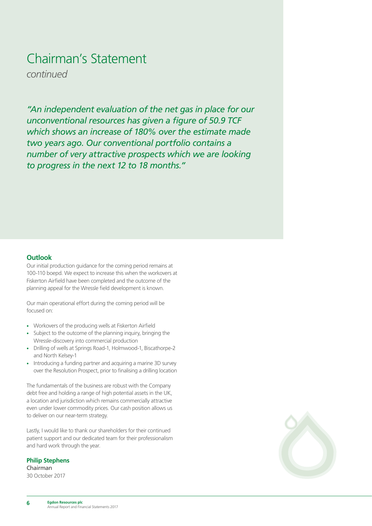### Chairman's Statement

*continued*

*"An independent evaluation of the net gas in place for our unconventional resources has given a figure of 50.9 TCF which shows an increase of 180% over the estimate made two years ago. Our conventional portfolio contains a number of very attractive prospects which we are looking to progress in the next 12 to 18 months."*

#### **Outlook**

Our initial production guidance for the coming period remains at 100-110 boepd. We expect to increase this when the workovers at Fiskerton Airfield have been completed and the outcome of the planning appeal for the Wressle field development is known.

Our main operational effort during the coming period will be focused on:

- Workovers of the producing wells at Fiskerton Airfield
- Subject to the outcome of the planning inquiry, bringing the Wressle-discovery into commercial production
- Drilling of wells at Springs Road-1, Holmwood-1, Biscathorpe-2 and North Kelsey-1
- Introducing a funding partner and acquiring a marine 3D survey over the Resolution Prospect, prior to finalising a drilling location

The fundamentals of the business are robust with the Company debt free and holding a range of high potential assets in the UK, a location and jurisdiction which remains commercially attractive even under lower commodity prices. Our cash position allows us to deliver on our near-term strategy.

Lastly, I would like to thank our shareholders for their continued patient support and our dedicated team for their professionalism and hard work through the year.

#### **Philip Stephens**

Chairman 30 October 2017

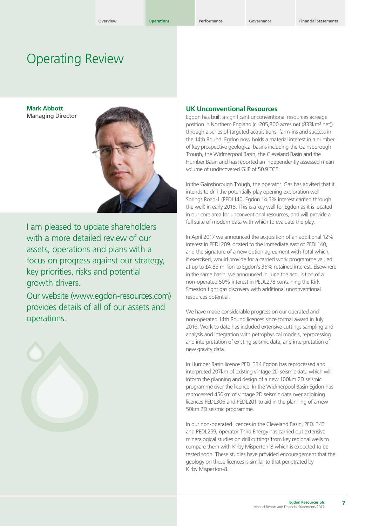### Operating Review

**Mark Abbott** Managing Director



I am pleased to update shareholders with a more detailed review of our assets, operations and plans with a focus on progress against our strategy, key priorities, risks and potential growth drivers.

Our website (www.egdon-resources.com) provides details of all of our assets and operations.



#### **UK Unconventional Resources**

Egdon has built a significant unconventional resources acreage position in Northern England (c. 205,800 acres net (833km² net)) through a series of targeted acquisitions, farm-ins and success in the 14th Round. Egdon now holds a material interest in a number of key prospective geological basins including the Gainsborough Trough, the Widmerpool Basin, the Cleveland Basin and the Humber Basin and has reported an independently assessed mean volume of undiscovered GIIP of 50.9 TCF.

In the Gainsborough Trough, the operator IGas has advised that it intends to drill the potentially play opening exploration well Springs Road-1 (PEDL140, Egdon 14.5% interest carried through the well) in early 2018. This is a key well for Egdon as it is located in our core area for unconventional resources, and will provide a full suite of modern data with which to evaluate the play.

In April 2017 we announced the acquisition of an additional 12% interest in PEDL209 located to the immediate east of PEDL140, and the signature of a new option agreement with Total which, if exercised, would provide for a carried work programme valued at up to £4.85 million to Egdon's 36% retained interest. Elsewhere in the same basin, we announced in June the acquisition of a non-operated 50% interest in PEDL278 containing the Kirk Smeaton tight gas discovery with additional unconventional resources potential.

We have made considerable progress on our operated and non-operated 14th Round licences since formal award in July 2016. Work to date has included extensive cuttings sampling and analysis and integration with petrophysical models, reprocessing and interpretation of existing seismic data, and interpretation of new gravity data.

In Humber Basin licence PEDL334 Egdon has reprocessed and interpreted 207km of existing vintage 2D seismic data which will inform the planning and design of a new 100km 2D seismic programme over the licence. In the Widmerpool Basin Egdon has reprocessed 450km of vintage 2D seismic data over adjoining licences PEDL306 and PEDL201 to aid in the planning of a new 50km 2D seismic programme.

In our non-operated licences in the Cleveland Basin, PEDL343 and PEDL259, operator Third Energy has carried out extensive mineralogical studies on drill cuttings from key regional wells to compare them with Kirby Misperton-8 which is expected to be tested soon. These studies have provided encouragement that the geology on these licences is similar to that penetrated by Kirby Misperton-8.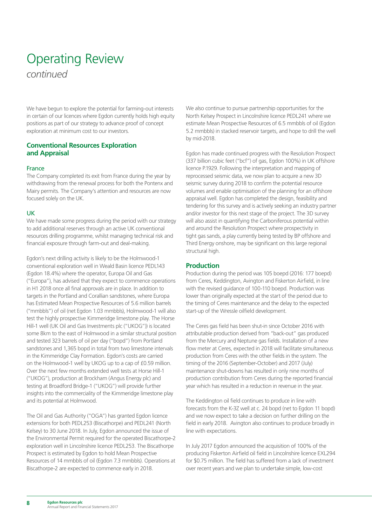## Operating Review *continued*

We have begun to explore the potential for farming-out interests in certain of our licences where Egdon currently holds high equity positions as part of our strategy to advance proof of concept exploration at minimum cost to our investors.

#### **Conventional Resources Exploration and Appraisal**

#### France

The Company completed its exit from France during the year by withdrawing from the renewal process for both the Pontenx and Mairy permits. The Company's attention and resources are now focused solely on the UK.

#### UK

We have made some progress during the period with our strategy to add additional reserves through an active UK conventional resources drilling programme, whilst managing technical risk and financial exposure through farm-out and deal-making.

Egdon's next drilling activity is likely to be the Holmwood-1 conventional exploration well in Weald Basin licence PEDL143 (Egdon 18.4%) where the operator, Europa Oil and Gas ("Europa"), has advised that they expect to commence operations in H1 2018 once all final approvals are in place. In addition to targets in the Portland and Corallian sandstones, where Europa has Estimated Mean Prospective Resources of 5.6 million barrels ("mmbbls") of oil (net Egdon 1.03 mmbbls), Holmwood-1 will also test the highly prospective Kimmeridge limestone play. The Horse Hill-1 well (UK Oil and Gas Investments plc ("UKOG")) is located some 8km to the east of Holmwood in a similar structural position and tested 323 barrels of oil per day ("bopd") from Portland sandstones and 1,365 bopd in total from two limestone intervals in the Kimmeridge Clay Formation. Egdon's costs are carried on the Holmwood-1 well by UKOG up to a cap of £0.59 million. Over the next few months extended well tests at Horse Hill-1 ("UKOG"), production at Brockham (Angus Energy plc) and testing at Broadford Bridge-1 ("UKOG") will provide further insights into the commerciality of the Kimmeridge limestone play and its potential at Holmwood.

The Oil and Gas Authority ("OGA") has granted Egdon licence extensions for both PEDL253 (Biscathorpe) and PEDL241 (North Kelsey) to 30 June 2018. In July, Egdon announced the issue of the Environmental Permit required for the operated Biscathorpe-2 exploration well in Lincolnshire licence PEDL253. The Biscathorpe Prospect is estimated by Egdon to hold Mean Prospective Resources of 14 mmbbls of oil (Egdon 7.3 mmbbls). Operations at Biscathorpe-2 are expected to commence early in 2018.

We also continue to pursue partnership opportunities for the North Kelsey Prospect in Lincolnshire licence PEDL241 where we estimate Mean Prospective Resources of 6.5 mmbbls of oil (Egdon 5.2 mmbbls) in stacked reservoir targets, and hope to drill the well by mid-2018.

Egdon has made continued progress with the Resolution Prospect (337 billion cubic feet ("bcf") of gas, Egdon 100%) in UK offshore licence P.1929. Following the interpretation and mapping of reprocessed seismic data, we now plan to acquire a new 3D seismic survey during 2018 to confirm the potential resource volumes and enable optimisation of the planning for an offshore appraisal well. Egdon has completed the design, feasibility and tendering for this survey and is actively seeking an industry partner and/or investor for this next stage of the project. The 3D survey will also assist in quantifying the Carboniferous potential within and around the Resolution Prospect where prospectivity in tight gas sands, a play currently being tested by BP offshore and Third Energy onshore, may be significant on this large regional structural high.

#### **Production**

Production during the period was 105 boepd (2016: 177 boepd) from Ceres, Keddington, Avington and Fiskerton Airfield, in line with the revised guidance of 100-110 boepd. Production was lower than originally expected at the start of the period due to the timing of Ceres maintenance and the delay to the expected start-up of the Wressle oilfield development.

The Ceres gas field has been shut-in since October 2016 with attributable production derived from "back-out" gas produced from the Mercury and Neptune gas fields. Installation of a new flow meter at Ceres, expected in 2018 will facilitate simultaneous production from Ceres with the other fields in the system. The timing of the 2016 (September-October) and 2017 (July) maintenance shut-downs has resulted in only nine months of production contribution from Ceres during the reported financial year which has resulted in a reduction in revenue in the year.

The Keddington oil field continues to produce in line with forecasts from the K-3Z well at c. 24 bopd (net to Egdon 11 bopd) and we now expect to take a decision on further drilling on the field in early 2018. Avington also continues to produce broadly in line with expectations.

In July 2017 Egdon announced the acquisition of 100% of the producing Fiskerton Airfield oil field in Lincolnshire licence EXL294 for \$0.75 million. The field has suffered from a lack of investment over recent years and we plan to undertake simple, low-cost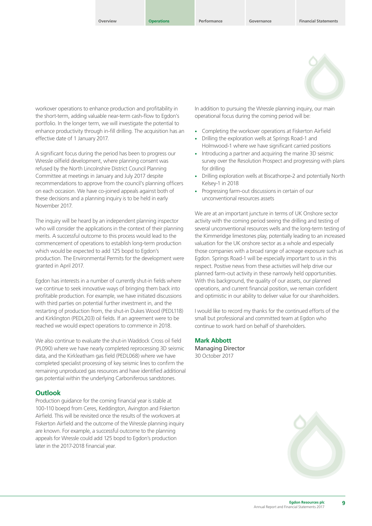

workover operations to enhance production and profitability in the short-term, adding valuable near-term cash-flow to Egdon's portfolio. In the longer term, we will investigate the potential to enhance productivity through in-fill drilling. The acquisition has an effective date of 1 January 2017.

A significant focus during the period has been to progress our Wressle oilfield development, where planning consent was refused by the North Lincolnshire District Council Planning Committee at meetings in January and July 2017 despite recommendations to approve from the council's planning officers on each occasion. We have co-joined appeals against both of these decisions and a planning inquiry is to be held in early November 2017.

The inquiry will be heard by an independent planning inspector who will consider the applications in the context of their planning merits. A successful outcome to this process would lead to the commencement of operations to establish long-term production which would be expected to add 125 bopd to Egdon's production. The Environmental Permits for the development were granted in April 2017.

Egdon has interests in a number of currently shut-in fields where we continue to seek innovative ways of bringing them back into profitable production. For example, we have initiated discussions with third parties on potential further investment in, and the restarting of production from, the shut-in Dukes Wood (PEDL118) and Kirklington (PEDL203) oil fields. If an agreement were to be reached we would expect operations to commence in 2018.

We also continue to evaluate the shut-in Waddock Cross oil field (PL090) where we have nearly completed reprocessing 3D seismic data, and the Kirkleatham gas field (PEDL068) where we have completed specialist processing of key seismic lines to confirm the remaining unproduced gas resources and have identified additional gas potential within the underlying Carboniferous sandstones.

#### **Outlook**

Production guidance for the coming financial year is stable at 100-110 boepd from Ceres, Keddington, Avington and Fiskerton Airfield. This will be revisited once the results of the workovers at Fiskerton Airfield and the outcome of the Wressle planning inquiry are known. For example, a successful outcome to the planning appeals for Wressle could add 125 bopd to Egdon's production later in the 2017-2018 financial year.

In addition to pursuing the Wressle planning inquiry, our main operational focus during the coming period will be:

- Completing the workover operations at Fiskerton Airfield
- Drilling the exploration wells at Springs Road-1 and Holmwood-1 where we have significant carried positions
- Introducing a partner and acquiring the marine 3D seismic survey over the Resolution Prospect and progressing with plans for drilling
- Drilling exploration wells at Biscathorpe-2 and potentially North Kelsey-1 in 2018
- Progressing farm-out discussions in certain of our unconventional resources assets

We are at an important juncture in terms of UK Onshore sector activity with the coming period seeing the drilling and testing of several unconventional resources wells and the long-term testing of the Kimmeridge limestones play, potentially leading to an increased valuation for the UK onshore sector as a whole and especially those companies with a broad range of acreage exposure such as Egdon. Springs Road-1 will be especially important to us in this respect. Positive news from these activities will help drive our planned farm-out activity in these narrowly held opportunities. With this background, the quality of our assets, our planned operations, and current financial position, we remain confident and optimistic in our ability to deliver value for our shareholders.

I would like to record my thanks for the continued efforts of the small but professional and committed team at Egdon who continue to work hard on behalf of shareholders.

#### **Mark Abbott**

Managing Director 30 October 2017

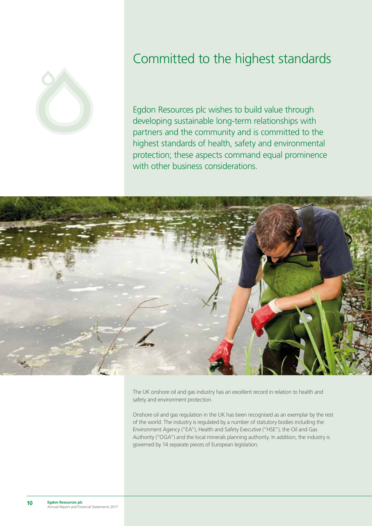

## Committed to the highest standards

Egdon Resources plc wishes to build value through developing sustainable long-term relationships with partners and the community and is committed to the highest standards of health, safety and environmental protection; these aspects command equal prominence with other business considerations.



The UK onshore oil and gas industry has an excellent record in relation to health and safety and environment protection.

Onshore oil and gas regulation in the UK has been recognised as an exemplar by the rest of the world. The industry is regulated by a number of statutory bodies including the Environment Agency ("EA"), Health and Safety Executive ("HSE"), the Oil and Gas Authority ("OGA") and the local minerals planning authority. In addition, the industry is governed by 14 separate pieces of European legislation.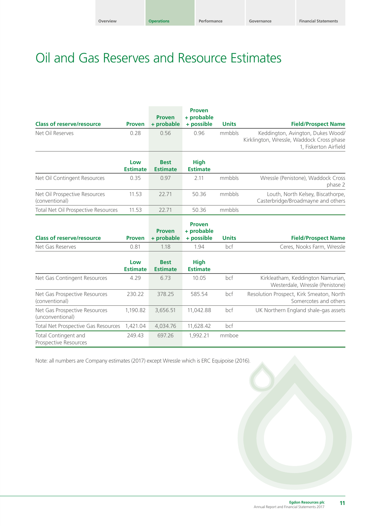## Oil and Gas Reserves and Resource Estimates

| <b>Class of reserve/resource</b>                  | <b>Proven</b>          | <b>Proven</b><br>+ probable    | <b>Proven</b><br>+ probable<br>+ possible | <b>Units</b> | <b>Field/Prospect Name</b>                                                                              |
|---------------------------------------------------|------------------------|--------------------------------|-------------------------------------------|--------------|---------------------------------------------------------------------------------------------------------|
| Net Oil Reserves                                  | 0.28                   | 0.56                           | 0.96                                      | mmbbls       | Keddington, Avington, Dukes Wood/<br>Kirklington, Wressle, Waddock Cross phase<br>1, Fiskerton Airfield |
|                                                   | Low<br><b>Estimate</b> | <b>Best</b><br><b>Estimate</b> | <b>High</b><br><b>Estimate</b>            |              |                                                                                                         |
| Net Oil Contingent Resources                      | 0.35                   | 0.97                           | 2.11                                      | mmbbls       | Wressle (Penistone), Waddock Cross<br>phase 2                                                           |
| Net Oil Prospective Resources<br>(conventional)   | 11.53                  | 22.71                          | 50.36                                     | mmbbls       | Louth, North Kelsey, Biscathorpe,<br>Casterbridge/Broadmayne and others                                 |
| Total Net Oil Prospective Resources               | 11.53                  | 22.71                          | 50.36                                     | mmbbls       |                                                                                                         |
| <b>Class of reserve/resource</b>                  | <b>Proven</b>          | <b>Proven</b><br>+ probable    | <b>Proven</b><br>+ probable<br>+ possible | <b>Units</b> | <b>Field/Prospect Name</b>                                                                              |
| Net Gas Reserves                                  | 0.81                   | 1.18                           | 1.94                                      | bcf          | Ceres, Nooks Farm, Wressle                                                                              |
|                                                   | Low<br><b>Estimate</b> | <b>Best</b><br><b>Estimate</b> | <b>High</b><br><b>Estimate</b>            |              |                                                                                                         |
| Net Gas Contingent Resources                      | 4.29                   | 6.73                           | 10.05                                     | bcf          | Kirkleatham, Keddington Namurian,<br>Westerdale, Wressle (Penistone)                                    |
| Net Gas Prospective Resources<br>(conventional)   | 230.22                 | 378.25                         | 585.54                                    | bcf          | Resolution Prospect, Kirk Smeaton, North<br>Somercotes and others                                       |
| Net Gas Prospective Resources<br>(unconventional) | 1,190.82               | 3,656.51                       | 11,042.88                                 | bcf          | UK Northern England shale-gas assets                                                                    |
| Total Net Prospective Gas Resources               | 1,421.04               | 4,034.76                       | 11,628.42                                 | bcf          |                                                                                                         |
| Total Contingent and<br>Prospective Resources     | 249.43                 | 697.26                         | 1,992.21                                  | mmboe        |                                                                                                         |

Note: all numbers are Company estimates (2017) except Wressle which is ERC Equipoise (2016).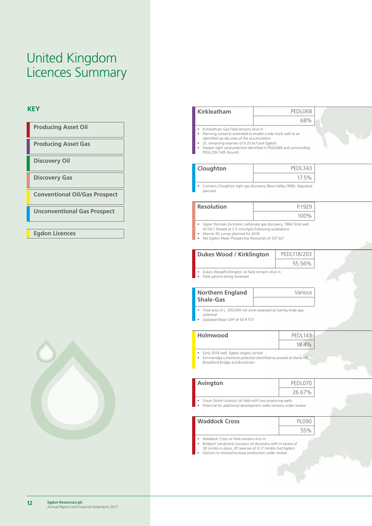### United Kingdom Licences Summary

#### **KEY**

| <b>Producing Asset Oil</b>           |
|--------------------------------------|
| <b>Producing Asset Gas</b>           |
| <b>Discovery Oil</b>                 |
| Discovery Gas                        |
| <b>Conventional Oil/Gas Prospect</b> |
| <b>Unconventional Gas Prospect</b>   |

**Egdon Licences**



# **Kirkleatham** PEDL068

- Kirkleatham Gas Field remains shut-in
- Planning consents extended to enable a side-track well to an identified up-dip area of the accumulation
- 
- 2C remaining reserves of 0.33 bcf (net Egdon) Deeper tight sand potential identified in PEDL068 and surrounding PEDL259 (14th Round)
	-

| Cloughton | <b>PFDI 343</b> |
|-----------|-----------------|
|           | 175%            |

68%

• Contains Cloughton tight gas discovery (Bow Valley,1986). Appraisal planned

| <b>Resolution</b> |       |
|-------------------|-------|
|                   | 10004 |

• Upper Permian Zechstein carbonate gas discovery, 1966 Total well

- 41/18-1 flowed at 2.5 mmcfg/d (following acidisation) Marine 3D survey planned for 2018 Net Egdon Mean Prospective Resources of 337 bcf
- 

#### **Dukes Wood / Kirklington** PEDL118/203 55.56% • Dukes Wood/Kirklington oil field remains shut-in

Field options being reviewed

| <b>Northern England</b> | Various |
|-------------------------|---------|
| <b>Shale-Gas</b>        |         |

• Total area of c. 200,000 net acres assessed as having shale-gas

potential • Updated Mean GIIP of 50.9 TCF

| Holmwood | PFDI143 |  |
|----------|---------|--|
|          | 18.4%   |  |
|          |         |  |

• Early 2018 well, Egdon largely carried • Kimmeridge Limestone potential identified as proved at Horse Hill, Broadford Bridge and Brockham

| Avington | PEDI 070 |
|----------|----------|
|          | 26.67%   |

• Great Oolite (Jurassic) oil field with two producing wells

• Potential for additional development wells remains under review

| <b>Waddock Cross</b>                                                                                                                                                                                                          | PI 090 |
|-------------------------------------------------------------------------------------------------------------------------------------------------------------------------------------------------------------------------------|--------|
|                                                                                                                                                                                                                               | 55%    |
| Waddock Cross oil field remains shut in<br>• Bridport Sandstone (Jurassic) oil discovery with in excess of<br>30 mmbls in place, 2P reserves of 0.17 mmbls (net Egdon)<br>Options to restore/increase production under review |        |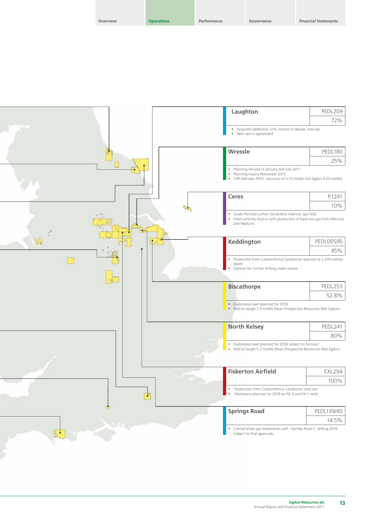![](_page_14_Figure_5.jpeg)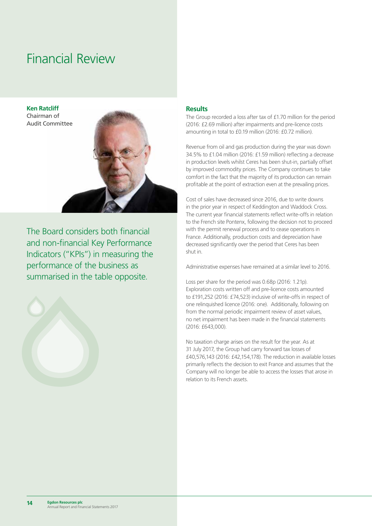## Financial Review

**Ken Ratcliff** Chairman of Audit Committee

![](_page_15_Picture_2.jpeg)

The Board considers both financial and non-financial Key Performance Indicators ("KPIs") in measuring the performance of the business as summarised in the table opposite.

![](_page_15_Picture_4.jpeg)

#### **Results**

The Group recorded a loss after tax of £1.70 million for the period (2016: £2.69 million) after impairments and pre-licence costs amounting in total to £0.19 million (2016: £0.72 million).

Revenue from oil and gas production during the year was down 34.5% to £1.04 million (2016: £1.59 million) reflecting a decrease in production levels whilst Ceres has been shut-in, partially offset by improved commodity prices. The Company continues to take comfort in the fact that the majority of its production can remain profitable at the point of extraction even at the prevailing prices.

Cost of sales have decreased since 2016, due to write downs in the prior year in respect of Keddington and Waddock Cross. The current year financial statements reflect write-offs in relation to the French site Pontenx, following the decision not to proceed with the permit renewal process and to cease operations in France. Additionally, production costs and depreciation have decreased significantly over the period that Ceres has been shut in.

Administrative expenses have remained at a similar level to 2016.

Loss per share for the period was 0.68p (2016: 1.21p). Exploration costs written off and pre-licence costs amounted to £191,252 (2016: £74,523) inclusive of write-offs in respect of one relinquished licence (2016: one). Additionally, following on from the normal periodic impairment review of asset values, no net impairment has been made in the financial statements (2016: £643,000).

No taxation charge arises on the result for the year. As at 31 July 2017, the Group had carry forward tax losses of £40,576,143 (2016: £42,154,178). The reduction in available losses primarily reflects the decision to exit France and assumes that the Company will no longer be able to access the losses that arose in relation to its French assets.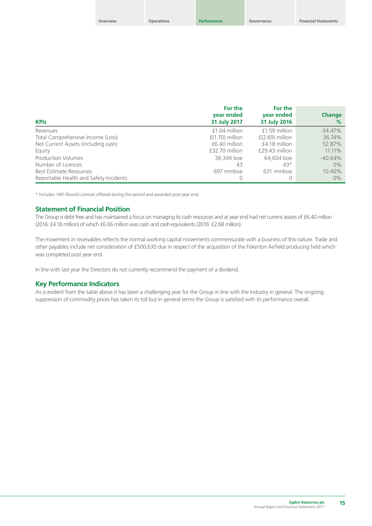| <b>KPIs</b>                            | For the<br>vear ended<br>31 July 2017 | For the<br>vear ended<br>31 July 2016 | <b>Change</b><br>$\%$ |
|----------------------------------------|---------------------------------------|---------------------------------------|-----------------------|
| Revenues                               | $£1.04$ million                       | $£1.59$ million                       | $-34.47\%$            |
| Total Comprehensive Income (Loss)      | $f(1.70)$ million                     | $f(2.69)$ million                     | 36.74%                |
| Net Current Assets (including cash)    | £6.40 million                         | £4.18 million                         | 52.87%                |
| Equity                                 | £32.70 million                        | $£29.43$ million                      | 11.11%                |
| <b>Production Volumes</b>              | 38,346 boe                            | 64.604 boe                            | $-40.64%$             |
| Number of Licences                     | 43                                    | $43*$                                 | $0\%$                 |
| Best Estimate Resources                | 697 mmboe                             | 631 mmboe                             | 10.46%                |
| Reportable Health and Safety Incidents |                                       | $\Omega$                              | $0\%$                 |

\* Includes 14th Round Licences offered during the period and awarded post year end.

#### **Statement of Financial Position**

The Group is debt free and has maintained a focus on managing its cash resources and at year end had net current assets of £6.40 million (2016: £4.18 million) of which £6.06 million was cash and cash equivalents (2016: £2.68 million).

The movement in receivables reflects the normal working capital movements commensurate with a business of this nature. Trade and other payables include net consideration of £500,630 due in respect of the acquisition of the Fiskerton Airfield producing field which was completed post year end.

In line with last year the Directors do not currently recommend the payment of a dividend.

#### **Key Performance Indicators**

As is evident from the table above it has been a challenging year for the Group in line with the Industry in general. The ongoing suppression of commodity prices has taken its toll but in general terms the Group is satisfied with its performance overall.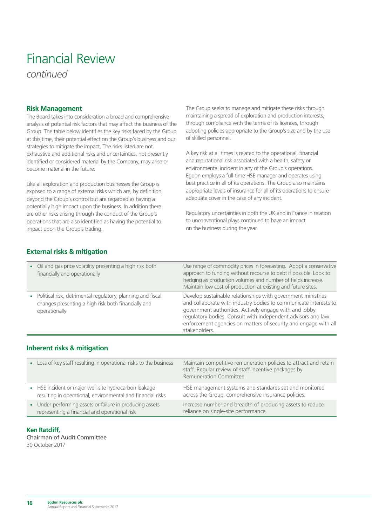# Financial Review

*continued*

#### **Risk Management**

The Board takes into consideration a broad and comprehensive analysis of potential risk factors that may affect the business of the Group. The table below identifies the key risks faced by the Group at this time, their potential effect on the Group's business and our strategies to mitigate the impact. The risks listed are not exhaustive and additional risks and uncertainties, not presently identified or considered material by the Company, may arise or become material in the future.

Like all exploration and production businesses the Group is exposed to a range of external risks which are, by definition, beyond the Group's control but are regarded as having a potentially high impact upon the business. In addition there are other risks arising through the conduct of the Group's operations that are also identified as having the potential to impact upon the Group's trading.

The Group seeks to manage and mitigate these risks through maintaining a spread of exploration and production interests, through compliance with the terms of its licences, through adopting policies appropriate to the Group's size and by the use of skilled personnel.

A key risk at all times is related to the operational, financial and reputational risk associated with a health, safety or environmental incident in any of the Group's operations. Egdon employs a full-time HSE manager and operates using best practice in all of its operations. The Group also maintains appropriate levels of insurance for all of its operations to ensure adequate cover in the case of any incident.

Regulatory uncertainties in both the UK and in France in relation to unconventional plays continued to have an impact on the business during the year.

### **External risks & mitigation**

| • Oil and gas price volatility presenting a high risk both<br>financially and operationally                                           | Use range of commodity prices in forecasting. Adopt a conservative<br>approach to funding without recourse to debt if possible. Look to<br>hedging as production volumes and number of fields increase.<br>Maintain low cost of production at existing and future sites.                                                                       |
|---------------------------------------------------------------------------------------------------------------------------------------|------------------------------------------------------------------------------------------------------------------------------------------------------------------------------------------------------------------------------------------------------------------------------------------------------------------------------------------------|
| • Political risk, detrimental regulatory, planning and fiscal<br>changes presenting a high risk both financially and<br>operationally | Develop sustainable relationships with government ministries<br>and collaborate with industry bodies to communicate interests to<br>government authorities. Actively engage with and lobby<br>regulatory bodies. Consult with independent advisors and law<br>enforcement agencies on matters of security and engage with all<br>stakeholders. |

#### **Inherent risks & mitigation**

|           | • Loss of key staff resulting in operational risks to the business                                                   | Maintain competitive remuneration policies to attract and retain<br>staff. Regular review of staff incentive packages by<br>Remuneration Committee. |
|-----------|----------------------------------------------------------------------------------------------------------------------|-----------------------------------------------------------------------------------------------------------------------------------------------------|
|           | • HSE incident or major well-site hydrocarbon leakage<br>resulting in operational, environmental and financial risks | HSE management systems and standards set and monitored<br>across the Group, comprehensive insurance policies.                                       |
| $\bullet$ | Under-performing assets or failure in producing assets<br>representing a financial and operational risk              | Increase number and breadth of producing assets to reduce<br>reliance on single-site performance.                                                   |

#### **Ken Ratcliff,**

Chairman of Audit Committee 30 October 2017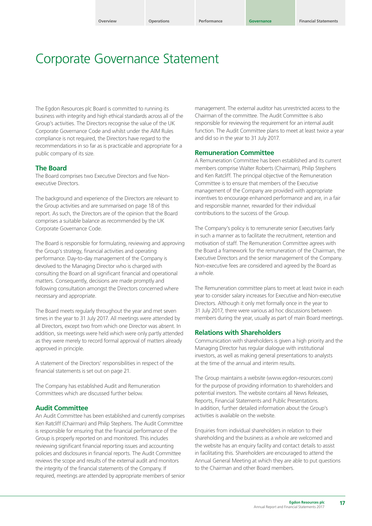### Corporate Governance Statement

The Egdon Resources plc Board is committed to running its business with integrity and high ethical standards across all of the Group's activities. The Directors recognise the value of the UK Corporate Governance Code and whilst under the AIM Rules compliance is not required, the Directors have regard to the recommendations in so far as is practicable and appropriate for a public company of its size.

#### **The Board**

The Board comprises two Executive Directors and five Nonexecutive Directors.

The background and experience of the Directors are relevant to the Group activities and are summarised on page 18 of this report. As such, the Directors are of the opinion that the Board comprises a suitable balance as recommended by the UK Corporate Governance Code.

The Board is responsible for formulating, reviewing and approving the Group's strategy, financial activities and operating performance. Day-to-day management of the Company is devolved to the Managing Director who is charged with consulting the Board on all significant financial and operational matters. Consequently, decisions are made promptly and following consultation amongst the Directors concerned where necessary and appropriate.

The Board meets regularly throughout the year and met seven times in the year to 31 July 2017. All meetings were attended by all Directors, except two from which one Director was absent. In addition, six meetings were held which were only partly attended as they were merely to record formal approval of matters already approved in principle.

A statement of the Directors' responsibilities in respect of the financial statements is set out on page 21.

The Company has established Audit and Remuneration Committees which are discussed further below.

#### **Audit Committee**

An Audit Committee has been established and currently comprises Ken Ratcliff (Chairman) and Philip Stephens. The Audit Committee is responsible for ensuring that the financial performance of the Group is properly reported on and monitored. This includes reviewing significant financial reporting issues and accounting policies and disclosures in financial reports. The Audit Committee reviews the scope and results of the external audit and monitors the integrity of the financial statements of the Company. If required, meetings are attended by appropriate members of senior management. The external auditor has unrestricted access to the Chairman of the committee. The Audit Committee is also responsible for reviewing the requirement for an internal audit function. The Audit Committee plans to meet at least twice a year and did so in the year to 31 July 2017.

#### **Remuneration Committee**

A Remuneration Committee has been established and its current members comprise Walter Roberts (Chairman), Philip Stephens and Ken Ratcliff. The principal objective of the Remuneration Committee is to ensure that members of the Executive management of the Company are provided with appropriate incentives to encourage enhanced performance and are, in a fair and responsible manner, rewarded for their individual contributions to the success of the Group.

The Company's policy is to remunerate senior Executives fairly in such a manner as to facilitate the recruitment, retention and motivation of staff. The Remuneration Committee agrees with the Board a framework for the remuneration of the Chairman, the Executive Directors and the senior management of the Company. Non-executive fees are considered and agreed by the Board as a whole.

The Remuneration committee plans to meet at least twice in each year to consider salary increases for Executive and Non-executive Directors. Although it only met formally once in the year to 31 July 2017, there were various ad hoc discussions between members during the year, usually as part of main Board meetings.

#### **Relations with Shareholders**

Communication with shareholders is given a high priority and the Managing Director has regular dialogue with institutional investors, as well as making general presentations to analysts at the time of the annual and interim results.

The Group maintains a website (www.egdon-resources.com) for the purpose of providing information to shareholders and potential investors. The website contains all News Releases, Reports, Financial Statements and Public Presentations. In addition, further detailed information about the Group's activities is available on the website.

Enquiries from individual shareholders in relation to their shareholding and the business as a whole are welcomed and the website has an enquiry facility and contact details to assist in facilitating this. Shareholders are encouraged to attend the Annual General Meeting at which they are able to put questions to the Chairman and other Board members.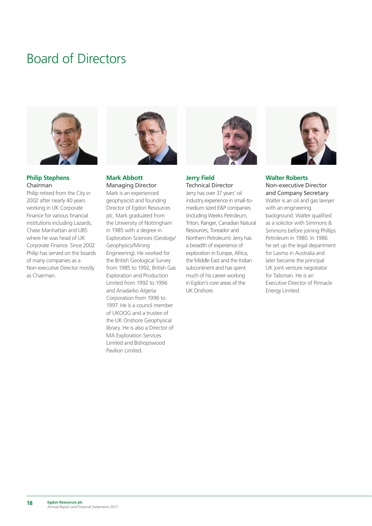### Board of Directors

![](_page_19_Picture_1.jpeg)

#### **Philip Stephens** Chairman

Philip retired from the City in 2002 after nearly 40 years working in UK Corporate Finance for various financial institutions including Lazards, Chase Manhattan and UBS where he was head of UK Corporate Finance. Since 2002 Philip has served on the boards of many companies as a Non-executive Director mostly as Chairman.

![](_page_19_Picture_4.jpeg)

**Mark Abbott** Managing Director

Mark is an experienced geophysicist and founding Director of Egdon Resources plc. Mark graduated from the University of Nottingham in 1985 with a degree in Exploration Sciences (Geology/ Geophysics/Mining Engineering). He worked for the British Geological Survey from 1985 to 1992, British Gas Exploration and Production Limited from 1992 to 1996 and Anadarko Algeria Corporation from 1996 to 1997. He is a council member of UKOOG and a trustee of the UK Onshore Geophysical library. He is also a Director of MA Exploration Services Limited and Bishopswood Pavilion Limited.

![](_page_19_Picture_7.jpeg)

**Jerry Field** Technical Director

Jerry has over 37 years' oil industry experience in small-tomedium sized E&P companies (including Weeks Petroleum, Triton, Ranger, Canadian Natural Resources, Toreador and Northern Petroleum). Jerry has a breadth of experience of exploration in Europe, Africa, the Middle East and the Indian subcontinent and has spent much of his career working in Egdon's core areas of the UK Onshore.

![](_page_19_Picture_10.jpeg)

**Walter Roberts** Non-executive Director and Company Secretary

Walter is an oil and gas lawyer with an engineering background. Walter qualified as a solicitor with Simmons & Simmons before joining Phillips Petroleum in 1980. In 1986 he set up the legal department for Lasmo in Australia and later became the principal UK joint venture negotiator for Talisman. He is an Executive Director of Pinnacle Energy Limited.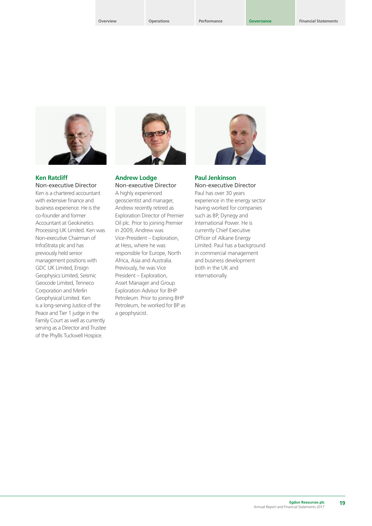![](_page_20_Picture_5.jpeg)

#### **Ken Ratcliff**

Non-executive Director Ken is a chartered accountant with extensive finance and business experience. He is the co-founder and former Accountant at Geokinetics Processing UK Limited. Ken was Non-executive Chairman of InfraStrata plc and has previously held senior management positions with GDC UK Limited, Ensign Geophysics Limited, Seismic Geocode Limited, Tenneco Corporation and Merlin Geophysical Limited. Ken is a long-serving Justice of the Peace and Tier 1 judge in the Family Court as well as currently serving as a Director and Trustee of the Phyllis Tuckwell Hospice.

![](_page_20_Picture_8.jpeg)

**Andrew Lodge** Non-executive Director

A highly experienced geoscientist and manager, Andrew recently retired as Exploration Director of Premier Oil plc. Prior to joining Premier in 2009, Andrew was Vice-President – Exploration, at Hess, where he was responsible for Europe, North Africa, Asia and Australia. Previously, he was Vice President – Exploration, Asset Manager and Group Exploration Advisor for BHP Petroleum. Prior to joining BHP Petroleum, he worked for BP as a geophysicist.

![](_page_20_Picture_11.jpeg)

#### **Paul Jenkinson** Non-executive Director

Paul has over 30 years experience in the energy sector having worked for companies such as BP, Dynegy and International Power. He is currently Chief Executive Officer of Alkane Energy Limited. Paul has a background in commercial management and business development both in the UK and internationally.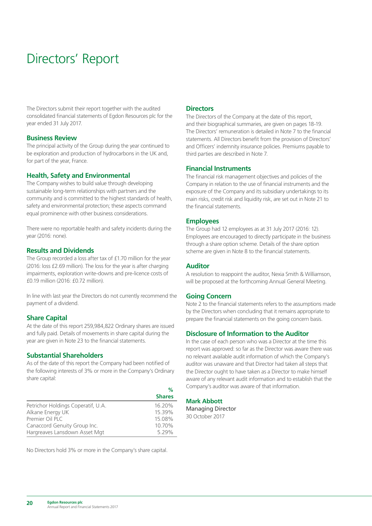### Directors' Report

The Directors submit their report together with the audited consolidated financial statements of Egdon Resources plc for the year ended 31 July 2017.

#### **Business Review**

The principal activity of the Group during the year continued to be exploration and production of hydrocarbons in the UK and, for part of the year, France.

#### **Health, Safety and Environmental**

The Company wishes to build value through developing sustainable long-term relationships with partners and the community and is committed to the highest standards of health, safety and environmental protection; these aspects command equal prominence with other business considerations.

There were no reportable health and safety incidents during the year (2016: none).

#### **Results and Dividends**

The Group recorded a loss after tax of £1.70 million for the year (2016: loss £2.69 million). The loss for the year is after charging impairments, exploration write-downs and pre-licence costs of £0.19 million (2016: £0.72 million).

In line with last year the Directors do not currently recommend the payment of a dividend.

#### **Share Capital**

At the date of this report 259,984,822 Ordinary shares are issued and fully paid. Details of movements in share capital during the year are given in Note 23 to the financial statements.

#### **Substantial Shareholders**

As of the date of this report the Company had been notified of the following interests of 3% or more in the Company's Ordinary share capital:

|                                    | %             |
|------------------------------------|---------------|
|                                    | <b>Shares</b> |
| Petrichor Holdings Coperatif, U.A. | 16.20%        |
| Alkane Energy UK                   | 15.39%        |
| Premier Oil PLC                    | 15.08%        |
| Canaccord Genuity Group Inc.       | 10.70%        |
| Hargreaves Lansdown Asset Mgt      | 5 2 9%        |

No Directors hold 3% or more in the Company's share capital.

#### **Directors**

The Directors of the Company at the date of this report, and their biographical summaries, are given on pages 18-19. The Directors' remuneration is detailed in Note 7 to the financial statements. All Directors benefit from the provision of Directors' and Officers' indemnity insurance policies. Premiums payable to third parties are described in Note 7.

#### **Financial Instruments**

The financial risk management objectives and policies of the Company in relation to the use of financial instruments and the exposure of the Company and its subsidiary undertakings to its main risks, credit risk and liquidity risk, are set out in Note 21 to the financial statements.

#### **Employees**

The Group had 12 employees as at 31 July 2017 (2016: 12). Employees are encouraged to directly participate in the business through a share option scheme. Details of the share option scheme are given in Note 8 to the financial statements.

#### **Auditor**

A resolution to reappoint the auditor, Nexia Smith & Williamson, will be proposed at the forthcoming Annual General Meeting.

#### **Going Concern**

Note 2 to the financial statements refers to the assumptions made by the Directors when concluding that it remains appropriate to prepare the financial statements on the going concern basis.

#### **Disclosure of Information to the Auditor**

In the case of each person who was a Director at the time this report was approved: so far as the Director was aware there was no relevant available audit information of which the Company's auditor was unaware and that Director had taken all steps that the Director ought to have taken as a Director to make himself aware of any relevant audit information and to establish that the Company's auditor was aware of that information.

#### **Mark Abbott**

Managing Director 30 October 2017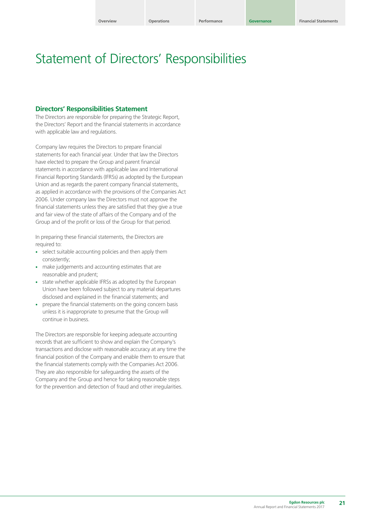### Statement of Directors' Responsibilities

#### **Directors' Responsibilities Statement**

The Directors are responsible for preparing the Strategic Report, the Directors' Report and the financial statements in accordance with applicable law and regulations.

Company law requires the Directors to prepare financial statements for each financial year. Under that law the Directors have elected to prepare the Group and parent financial statements in accordance with applicable law and International Financial Reporting Standards (IFRSs) as adopted by the European Union and as regards the parent company financial statements, as applied in accordance with the provisions of the Companies Act 2006. Under company law the Directors must not approve the financial statements unless they are satisfied that they give a true and fair view of the state of affairs of the Company and of the Group and of the profit or loss of the Group for that period.

In preparing these financial statements, the Directors are required to:

- select suitable accounting policies and then apply them consistently;
- make judgements and accounting estimates that are reasonable and prudent;
- state whether applicable IFRSs as adopted by the European Union have been followed subject to any material departures disclosed and explained in the financial statements; and
- prepare the financial statements on the going concern basis unless it is inappropriate to presume that the Group will continue in business.

The Directors are responsible for keeping adequate accounting records that are sufficient to show and explain the Company's transactions and disclose with reasonable accuracy at any time the financial position of the Company and enable them to ensure that the financial statements comply with the Companies Act 2006. They are also responsible for safeguarding the assets of the Company and the Group and hence for taking reasonable steps for the prevention and detection of fraud and other irregularities.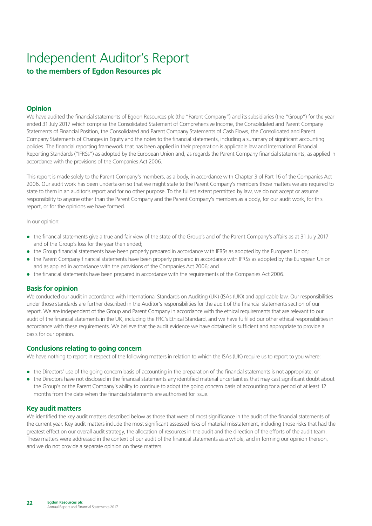### Independent Auditor's Report **to the members of Egdon Resources plc**

#### **Opinion**

We have audited the financial statements of Egdon Resources plc (the "Parent Company") and its subsidiaries (the "Group") for the year ended 31 July 2017 which comprise the Consolidated Statement of Comprehensive Income, the Consolidated and Parent Company Statements of Financial Position, the Consolidated and Parent Company Statements of Cash Flows, the Consolidated and Parent Company Statements of Changes in Equity and the notes to the financial statements, including a summary of significant accounting policies. The financial reporting framework that has been applied in their preparation is applicable law and International Financial Reporting Standards ("IFRSs") as adopted by the European Union and, as regards the Parent Company financial statements, as applied in accordance with the provisions of the Companies Act 2006.

This report is made solely to the Parent Company's members, as a body, in accordance with Chapter 3 of Part 16 of the Companies Act 2006. Our audit work has been undertaken so that we might state to the Parent Company's members those matters we are required to state to them in an auditor's report and for no other purpose. To the fullest extent permitted by law, we do not accept or assume responsibility to anyone other than the Parent Company and the Parent Company's members as a body, for our audit work, for this report, or for the opinions we have formed.

In our opinion:

- the financial statements give a true and fair view of the state of the Group's and of the Parent Company's affairs as at 31 July 2017 and of the Group's loss for the year then ended;
- the Group financial statements have been properly prepared in accordance with IFRSs as adopted by the European Union;
- l the Parent Company financial statements have been properly prepared in accordance with IFRSs as adopted by the European Union and as applied in accordance with the provisions of the Companies Act 2006; and
- the financial statements have been prepared in accordance with the requirements of the Companies Act 2006.

#### **Basis for opinion**

We conducted our audit in accordance with International Standards on Auditing (UK) (ISAs (UK)) and applicable law. Our responsibilities under those standards are further described in the Auditor's responsibilities for the audit of the financial statements section of our report. We are independent of the Group and Parent Company in accordance with the ethical requirements that are relevant to our audit of the financial statements in the UK, including the FRC's Ethical Standard, and we have fulfilled our other ethical responsibilities in accordance with these requirements. We believe that the audit evidence we have obtained is sufficient and appropriate to provide a basis for our opinion.

#### **Conclusions relating to going concern**

We have nothing to report in respect of the following matters in relation to which the ISAs (UK) require us to report to you where:

- the Directors' use of the going concern basis of accounting in the preparation of the financial statements is not appropriate; or
- the Directors have not disclosed in the financial statements any identified material uncertainties that may cast significant doubt about the Group's or the Parent Company's ability to continue to adopt the going concern basis of accounting for a period of at least 12 months from the date when the financial statements are authorised for issue.

#### **Key audit matters**

We identified the key audit matters described below as those that were of most significance in the audit of the financial statements of the current year. Key audit matters include the most significant assessed risks of material misstatement, including those risks that had the greatest effect on our overall audit strategy, the allocation of resources in the audit and the direction of the efforts of the audit team. These matters were addressed in the context of our audit of the financial statements as a whole, and in forming our opinion thereon, and we do not provide a separate opinion on these matters.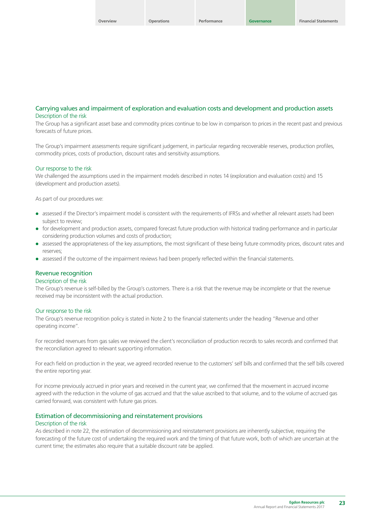#### Carrying values and impairment of exploration and evaluation costs and development and production assets Description of the risk

The Group has a significant asset base and commodity prices continue to be low in comparison to prices in the recent past and previous forecasts of future prices.

The Group's impairment assessments require significant judgement, in particular regarding recoverable reserves, production profiles, commodity prices, costs of production, discount rates and sensitivity assumptions.

#### Our response to the risk

We challenged the assumptions used in the impairment models described in notes 14 (exploration and evaluation costs) and 15 (development and production assets).

As part of our procedures we:

- assessed if the Director's impairment model is consistent with the requirements of IFRSs and whether all relevant assets had been subject to review;
- for development and production assets, compared forecast future production with historical trading performance and in particular considering production volumes and costs of production;
- assessed the appropriateness of the key assumptions, the most significant of these being future commodity prices, discount rates and reserves;
- assessed if the outcome of the impairment reviews had been properly reflected within the financial statements.

#### Revenue recognition

#### Description of the risk

The Group's revenue is self-billed by the Group's customers. There is a risk that the revenue may be incomplete or that the revenue received may be inconsistent with the actual production.

#### Our response to the risk

The Group's revenue recognition policy is stated in Note 2 to the financial statements under the heading "Revenue and other operating income".

For recorded revenues from gas sales we reviewed the client's reconciliation of production records to sales records and confirmed that the reconciliation agreed to relevant supporting information.

For each field on production in the year, we agreed recorded revenue to the customers' self bills and confirmed that the self bills covered the entire reporting year.

For income previously accrued in prior years and received in the current year, we confirmed that the movement in accrued income agreed with the reduction in the volume of gas accrued and that the value ascribed to that volume, and to the volume of accrued gas carried forward, was consistent with future gas prices.

#### Estimation of decommissioning and reinstatement provisions

#### Description of the risk

As described in note 22, the estimation of decommissioning and reinstatement provisions are inherently subjective, requiring the forecasting of the future cost of undertaking the required work and the timing of that future work, both of which are uncertain at the current time; the estimates also require that a suitable discount rate be applied.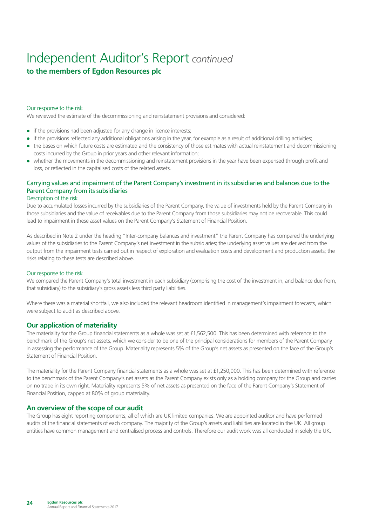### Independent Auditor's Report *continued* **to the members of Egdon Resources plc**

#### Our response to the risk

We reviewed the estimate of the decommissioning and reinstatement provisions and considered:

- if the provisions had been adjusted for any change in licence interests;
- l if the provisions reflected any additional obligations arising in the year, for example as a result of additional drilling activities;
- the bases on which future costs are estimated and the consistency of those estimates with actual reinstatement and decommissioning costs incurred by the Group in prior years and other relevant information;
- whether the movements in the decommissioning and reinstatement provisions in the year have been expensed through profit and loss, or reflected in the capitalised costs of the related assets.

### Carrying values and impairment of the Parent Company's investment in its subsidiaries and balances due to the Parent Company from its subsidiaries

#### Description of the risk

Due to accumulated losses incurred by the subsidiaries of the Parent Company, the value of investments held by the Parent Company in those subsidiaries and the value of receivables due to the Parent Company from those subsidiaries may not be recoverable. This could lead to impairment in these asset values on the Parent Company's Statement of Financial Position.

As described in Note 2 under the heading "Inter-company balances and investment" the Parent Company has compared the underlying values of the subsidiaries to the Parent Company's net investment in the subsidiaries; the underlying asset values are derived from the output from the impairment tests carried out in respect of exploration and evaluation costs and development and production assets; the risks relating to these tests are described above.

#### Our response to the risk

We compared the Parent Company's total investment in each subsidiary (comprising the cost of the investment in, and balance due from, that subsidiary) to the subsidiary's gross assets less third party liabilities.

Where there was a material shortfall, we also included the relevant headroom identified in management's impairment forecasts, which were subject to audit as described above.

#### **Our application of materiality**

The materiality for the Group financial statements as a whole was set at £1,562,500. This has been determined with reference to the benchmark of the Group's net assets, which we consider to be one of the principal considerations for members of the Parent Company in assessing the performance of the Group. Materiality represents 5% of the Group's net assets as presented on the face of the Group's Statement of Financial Position.

The materiality for the Parent Company financial statements as a whole was set at £1,250,000. This has been determined with reference to the benchmark of the Parent Company's net assets as the Parent Company exists only as a holding company for the Group and carries on no trade in its own right. Materiality represents 5% of net assets as presented on the face of the Parent Company's Statement of Financial Position, capped at 80% of group materiality.

#### **An overview of the scope of our audit**

The Group has eight reporting components, all of which are UK limited companies. We are appointed auditor and have performed audits of the financial statements of each company. The majority of the Group's assets and liabilities are located in the UK. All group entities have common management and centralised process and controls. Therefore our audit work was all conducted in solely the UK.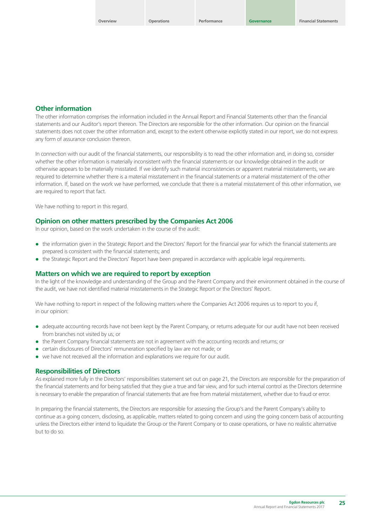#### **Other information**

The other information comprises the information included in the Annual Report and Financial Statements other than the financial statements and our Auditor's report thereon. The Directors are responsible for the other information. Our opinion on the financial statements does not cover the other information and, except to the extent otherwise explicitly stated in our report, we do not express any form of assurance conclusion thereon.

In connection with our audit of the financial statements, our responsibility is to read the other information and, in doing so, consider whether the other information is materially inconsistent with the financial statements or our knowledge obtained in the audit or otherwise appears to be materially misstated. If we identify such material inconsistencies or apparent material misstatements, we are required to determine whether there is a material misstatement in the financial statements or a material misstatement of the other information. If, based on the work we have performed, we conclude that there is a material misstatement of this other information, we are required to report that fact.

We have nothing to report in this regard.

#### **Opinion on other matters prescribed by the Companies Act 2006**

In our opinion, based on the work undertaken in the course of the audit:

- the information given in the Strategic Report and the Directors' Report for the financial year for which the financial statements are prepared is consistent with the financial statements; and
- the Strategic Report and the Directors' Report have been prepared in accordance with applicable legal requirements.

#### **Matters on which we are required to report by exception**

In the light of the knowledge and understanding of the Group and the Parent Company and their environment obtained in the course of the audit, we have not identified material misstatements in the Strategic Report or the Directors' Report.

We have nothing to report in respect of the following matters where the Companies Act 2006 requires us to report to you if, in our opinion:

- adequate accounting records have not been kept by the Parent Company, or returns adequate for our audit have not been received from branches not visited by us; or
- the Parent Company financial statements are not in agreement with the accounting records and returns; or
- certain disclosures of Directors' remuneration specified by law are not made; or
- we have not received all the information and explanations we require for our audit.

#### **Responsibilities of Directors**

As explained more fully in the Directors' responsibilities statement set out on page 21, the Directors are responsible for the preparation of the financial statements and for being satisfied that they give a true and fair view, and for such internal control as the Directors determine is necessary to enable the preparation of financial statements that are free from material misstatement, whether due to fraud or error.

In preparing the financial statements, the Directors are responsible for assessing the Group's and the Parent Company's ability to continue as a going concern, disclosing, as applicable, matters related to going concern and using the going concern basis of accounting unless the Directors either intend to liquidate the Group or the Parent Company or to cease operations, or have no realistic alternative but to do so.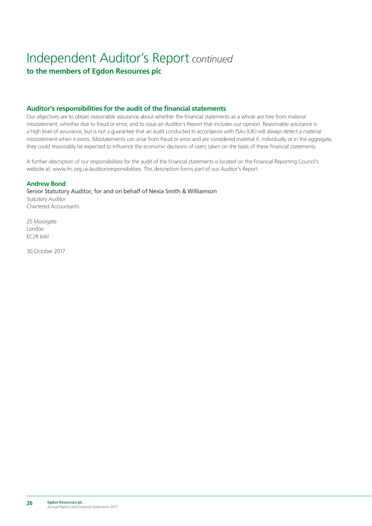### Independent Auditor's Report *continued* **to the members of Egdon Resources plc**

#### **Auditor's responsibilities for the audit of the financial statements**

Our objectives are to obtain reasonable assurance about whether the financial statements as a whole are free from material misstatement, whether due to fraud or error, and to issue an Auditor's Report that includes our opinion. Reasonable assurance is a high level of assurance, but is not a guarantee that an audit conducted in accordance with ISAs (UK) will always detect a material misstatement when it exists. Misstatements can arise from fraud or error and are considered material if, individually or in the aggregate, they could reasonably be expected to influence the economic decisions of users taken on the basis of these financial statements.

A further description of our responsibilities for the audit of the financial statements is located on the Financial Reporting Council's website at: www.frc.org.uk/auditorsresponsibilities. This description forms part of our Auditor's Report.

#### **Andrew Bond**

Senior Statutory Auditor, for and on behalf of Nexia Smith & Williamson Statutory Auditor Chartered Accountants

25 Moorgate London EC2R 6AY

30 October 2017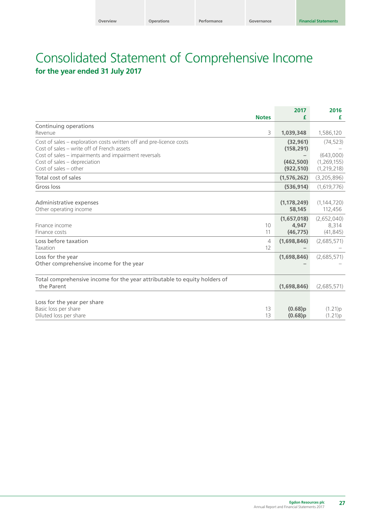### Consolidated Statement of Comprehensive Income **for the year ended 31 July 2017**

|                                                                           | 2017          | 2016          |
|---------------------------------------------------------------------------|---------------|---------------|
| <b>Notes</b>                                                              | £             | £             |
| Continuing operations                                                     |               |               |
| 3<br>Revenue                                                              | 1,039,348     | 1,586,120     |
| Cost of sales – exploration costs written off and pre-licence costs       | (32, 961)     | (74, 523)     |
| Cost of sales – write off of French assets                                | (158, 291)    |               |
| Cost of sales – impairments and impairment reversals                      |               | (643,000)     |
| Cost of sales - depreciation                                              | (462, 500)    | (1,269,155)   |
| Cost of sales $-$ other                                                   | (922, 510)    | (1, 219, 218) |
| Total cost of sales                                                       | (1, 576, 262) | (3,205,896)   |
| Gross loss                                                                | (536, 914)    | (1,619,776)   |
|                                                                           |               |               |
| Administrative expenses                                                   | (1, 178, 249) | (1,144,720)   |
| Other operating income                                                    | 58,145        | 112,456       |
|                                                                           | (1,657,018)   | (2,652,040)   |
| Finance income<br>10                                                      | 4,947         | 8,314         |
| Finance costs<br>11                                                       | (46, 775)     | (41, 845)     |
| Loss before taxation<br>4                                                 | (1,698,846)   | (2,685,571)   |
| Taxation<br>12                                                            |               |               |
| Loss for the year                                                         | (1,698,846)   | (2,685,571)   |
| Other comprehensive income for the year                                   |               |               |
|                                                                           |               |               |
| Total comprehensive income for the year attributable to equity holders of |               |               |
| the Parent                                                                | (1,698,846)   | (2,685,571)   |
|                                                                           |               |               |
| Loss for the year per share                                               |               |               |
| Basic loss per share<br>13                                                | $(0.68)$ p    | (1.21)p       |
| Diluted loss per share<br>13                                              | (0.68)p       | (1.21)p       |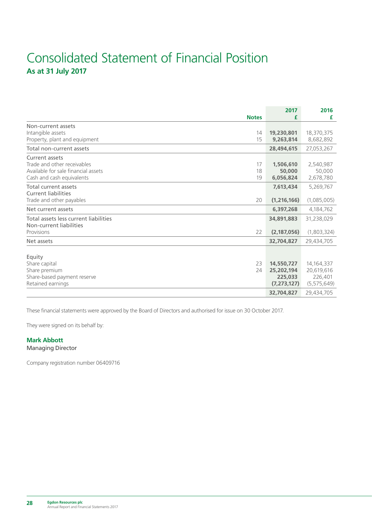### Consolidated Statement of Financial Position **As at 31 July 2017**

|                                         | <b>Notes</b> | 2017<br>£     | 2016<br>£     |
|-----------------------------------------|--------------|---------------|---------------|
|                                         |              |               |               |
| Non-current assets<br>Intangible assets | 14           | 19,230,801    | 18,370,375    |
| Property, plant and equipment           | 15           | 9,263,814     | 8,682,892     |
| Total non-current assets                |              | 28,494,615    | 27,053,267    |
| Current assets                          |              |               |               |
| Trade and other receivables             | 17           | 1,506,610     | 2,540,987     |
| Available for sale financial assets     | 18           | 50,000        | 50,000        |
| Cash and cash equivalents               | 19           | 6,056,824     | 2,678,780     |
| Total current assets                    |              | 7,613,434     | 5,269,767     |
| <b>Current liabilities</b>              |              |               |               |
| Trade and other payables                | 20           | (1, 216, 166) | (1,085,005)   |
| Net current assets                      |              | 6,397,268     | 4,184,762     |
| Total assets less current liabilities   |              | 34,891,883    | 31,238,029    |
| Non-current liabilities                 |              |               |               |
| Provisions                              | 22           | (2, 187, 056) | (1,803,324)   |
| Net assets                              |              | 32,704,827    | 29,434,705    |
|                                         |              |               |               |
| Equity                                  |              |               |               |
| Share capital                           | 23           | 14,550,727    | 14,164,337    |
| Share premium                           | 24           | 25,202,194    | 20,619,616    |
| Share-based payment reserve             |              | 225,033       | 226,401       |
| Retained earnings                       |              | (7, 273, 127) | (5, 575, 649) |
|                                         |              | 32,704,827    | 29,434,705    |

These financial statements were approved by the Board of Directors and authorised for issue on 30 October 2017.

They were signed on its behalf by:

#### **Mark Abbott**

Managing Director

Company registration number 06409716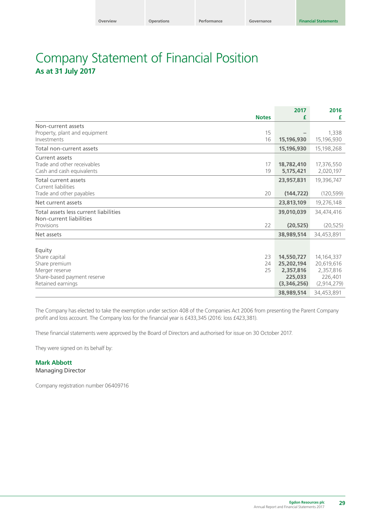### Company Statement of Financial Position **As at 31 July 2017**

|                                       | 2017        | 2016        |
|---------------------------------------|-------------|-------------|
| <b>Notes</b>                          | £           | £           |
| Non-current assets                    |             |             |
| 15<br>Property, plant and equipment   |             | 1,338       |
| 16<br>Investments                     | 15,196,930  | 15,196,930  |
| Total non-current assets              | 15,196,930  | 15,198,268  |
| Current assets                        |             |             |
| Trade and other receivables<br>17     | 18,782,410  | 17,376,550  |
| Cash and cash equivalents<br>19       | 5,175,421   | 2,020,197   |
| Total current assets                  | 23,957,831  | 19,396,747  |
| Current liabilities                   |             |             |
| Trade and other payables<br>20        | (144, 722)  | (120, 599)  |
| Net current assets                    | 23,813,109  | 19,276,148  |
| Total assets less current liabilities | 39,010,039  | 34,474,416  |
| Non-current liabilities               |             |             |
| 22<br>Provisions                      | (20, 525)   | (20, 525)   |
| Net assets                            | 38,989,514  | 34,453,891  |
|                                       |             |             |
| Equity                                |             |             |
| Share capital<br>23                   | 14,550,727  | 14,164,337  |
| Share premium<br>24                   | 25,202,194  | 20,619,616  |
| Merger reserve<br>25                  | 2,357,816   | 2,357,816   |
| Share-based payment reserve           | 225,033     | 226,401     |
| Retained earnings                     | (3,346,256) | (2,914,279) |
|                                       | 38,989,514  | 34,453,891  |

The Company has elected to take the exemption under section 408 of the Companies Act 2006 from presenting the Parent Company profit and loss account. The Company loss for the financial year is £433,345 (2016: loss £423,381).

These financial statements were approved by the Board of Directors and authorised for issue on 30 October 2017.

They were signed on its behalf by:

#### **Mark Abbott**

Managing Director

Company registration number 06409716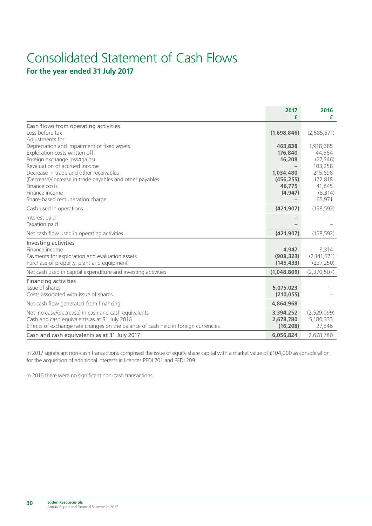### Consolidated Statement of Cash Flows **For the year ended 31 July 2017**

|                                                                                                                                                                                                                                                                                                                             | 2017<br>£                                                                     | 2016<br>£                                                                                         |
|-----------------------------------------------------------------------------------------------------------------------------------------------------------------------------------------------------------------------------------------------------------------------------------------------------------------------------|-------------------------------------------------------------------------------|---------------------------------------------------------------------------------------------------|
| Cash flows from operating activities<br>Loss before tax<br>Adiustments for:                                                                                                                                                                                                                                                 | (1,698,846)                                                                   | (2,685,571)                                                                                       |
| Depreciation and impairment of fixed assets<br>Exploration costs written off<br>Foreign exchange loss/(gains)<br>Revaluation of accrued income<br>Decrease in trade and other receivables<br>(Decrease)/increase in trade payables and other payables<br>Finance costs<br>Finance income<br>Share-based remuneration charge | 463,838<br>176,840<br>16,208<br>1,034,480<br>(456, 255)<br>46,775<br>(4, 947) | 1,918,685<br>44,564<br>(27, 546)<br>103,258<br>215,698<br>172,818<br>41,845<br>(8, 314)<br>65,971 |
| Cash used in operations                                                                                                                                                                                                                                                                                                     | (421, 907)                                                                    | (158, 592)                                                                                        |
| Interest paid<br>Taxation paid                                                                                                                                                                                                                                                                                              |                                                                               |                                                                                                   |
| Net cash flow used in operating activities                                                                                                                                                                                                                                                                                  | (421, 907)                                                                    | (158, 592)                                                                                        |
| Investing activities<br>Finance income<br>Payments for exploration and evaluation assets<br>Purchase of property, plant and equipment                                                                                                                                                                                       | 4,947<br>(908, 323)<br>(145, 433)                                             | 8,314<br>(2, 141, 571)<br>(237, 250)                                                              |
| Net cash used in capital expenditure and investing activities                                                                                                                                                                                                                                                               | (1,048,809)                                                                   | (2,370,507)                                                                                       |
| Financing activities<br>Issue of shares<br>Costs associated with issue of shares                                                                                                                                                                                                                                            | 5,075,023<br>(210, 055)                                                       |                                                                                                   |
| Net cash flow generated from financing                                                                                                                                                                                                                                                                                      | 4,864,968                                                                     |                                                                                                   |
| Net Increase/(decrease) in cash and cash equivalents<br>Cash and cash equivalents as at 31 July 2016<br>Effects of exchange rate changes on the balance of cash held in foreign currencies                                                                                                                                  | 3,394,252<br>2,678,780<br>(16, 208)                                           | (2,529,099)<br>5,180,333<br>27,546                                                                |
| Cash and cash equivalents as at 31 July 2017                                                                                                                                                                                                                                                                                | 6,056,824                                                                     | 2,678,780                                                                                         |

In 2017 significant non-cash transactions comprised the issue of equity share capital with a market value of £104,000 as consideration for the acquisition of additional interests in licences PEDL201 and PEDL209.

In 2016 there were no significant non-cash transactions.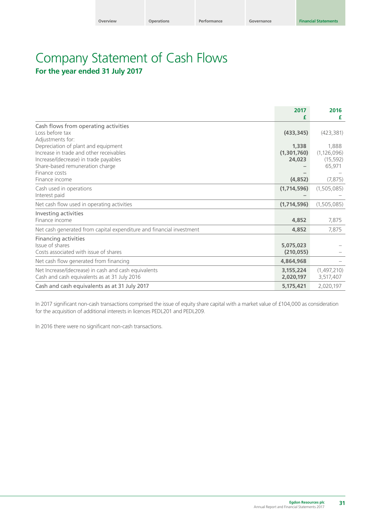### Company Statement of Cash Flows **For the year ended 31 July 2017**

|                                                                                                                                                                             | 2017<br>f                      | 2016<br>£                                     |
|-----------------------------------------------------------------------------------------------------------------------------------------------------------------------------|--------------------------------|-----------------------------------------------|
| Cash flows from operating activities<br>Loss before tax<br>Adjustments for:                                                                                                 | (433, 345)                     | (423, 381)                                    |
| Depreciation of plant and equipment<br>Increase in trade and other receivables<br>Increase/(decrease) in trade payables<br>Share-based remuneration charge<br>Finance costs | 1,338<br>(1,301,760)<br>24,023 | 1.888<br>(1, 126, 096)<br>(15, 592)<br>65,971 |
| Finance income                                                                                                                                                              | (4, 852)                       | (7, 875)                                      |
| Cash used in operations<br>Interest paid                                                                                                                                    | (1,714,596)                    | (1,505,085)                                   |
| Net cash flow used in operating activities                                                                                                                                  | (1,714,596)                    | (1,505,085)                                   |
| Investing activities<br>Finance income                                                                                                                                      | 4,852                          | 7.875                                         |
| Net cash generated from capital expenditure and financial investment                                                                                                        | 4,852                          | 7,875                                         |
| Financing activities<br>Issue of shares<br>Costs associated with issue of shares                                                                                            | 5,075,023<br>(210, 055)        |                                               |
| Net cash flow generated from financing                                                                                                                                      | 4,864,968                      |                                               |
| Net Increase/(decrease) in cash and cash equivalents<br>Cash and cash equivalents as at 31 July 2016                                                                        | 3, 155, 224<br>2,020,197       | (1,497,210)<br>3,517,407                      |
| Cash and cash equivalents as at 31 July 2017                                                                                                                                | 5,175,421                      | 2,020,197                                     |

In 2017 significant non-cash transactions comprised the issue of equity share capital with a market value of £104,000 as consideration for the acquisition of additional interests in licences PEDL201 and PEDL209.

In 2016 there were no significant non-cash transactions.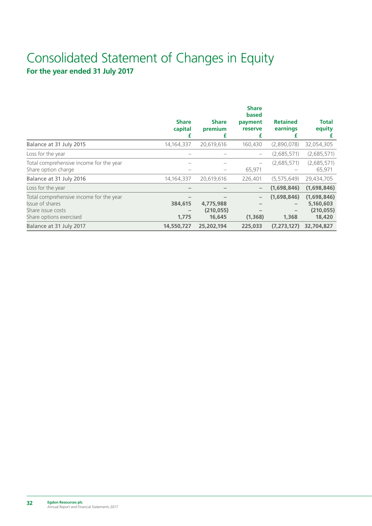### Consolidated Statement of Changes in Equity **For the year ended 31 July 2017**

|                                                                                                            | <b>Share</b><br>capital<br>£ | <b>Share</b><br>premium           | <b>Share</b><br>based<br>payment<br>reserve<br>£ | <b>Retained</b><br>earnings | <b>Total</b><br>equity                           |
|------------------------------------------------------------------------------------------------------------|------------------------------|-----------------------------------|--------------------------------------------------|-----------------------------|--------------------------------------------------|
| Balance at 31 July 2015                                                                                    | 14,164,337                   | 20,619,616                        | 160,430                                          | (2,890,078)                 | 32,054,305                                       |
| Loss for the year                                                                                          |                              |                                   | $\overline{\phantom{m}}$                         | (2,685,571)                 | (2,685,571)                                      |
| Total comprehensive income for the year<br>Share option charge                                             |                              |                                   | $\overline{\phantom{m}}$<br>65,971               | (2,685,571)                 | (2,685,571)<br>65,971                            |
| Balance at 31 July 2016                                                                                    | 14,164,337                   | 20,619,616                        | 226,401                                          | (5,575,649)                 | 29,434,705                                       |
| Loss for the year                                                                                          |                              |                                   | $\overline{\phantom{m}}$                         | (1,698,846)                 | (1,698,846)                                      |
| Total comprehensive income for the year<br>Issue of shares<br>Share issue costs<br>Share options exercised | 384,615<br>1,775             | 4,775,988<br>(210, 055)<br>16,645 | $\overline{\phantom{m}}$<br>(1, 368)             | (1,698,846)<br>1,368        | (1,698,846)<br>5,160,603<br>(210, 055)<br>18,420 |
| Balance at 31 July 2017                                                                                    | 14,550,727                   | 25,202,194                        | 225,033                                          | (7, 273, 127)               | 32,704,827                                       |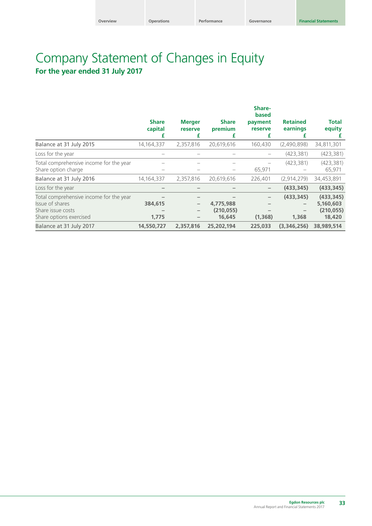### Company Statement of Changes in Equity **For the year ended 31 July 2017**

|                                                                                                            | <b>Share</b><br>capital<br>£ | <b>Merger</b><br>reserve<br>£ | <b>Share</b><br>premium<br>£      | Share-<br>based<br>payment<br>reserve<br>£ | <b>Retained</b><br>earnings | <b>Total</b><br>equity                          |
|------------------------------------------------------------------------------------------------------------|------------------------------|-------------------------------|-----------------------------------|--------------------------------------------|-----------------------------|-------------------------------------------------|
| Balance at 31 July 2015                                                                                    | 14,164,337                   | 2,357,816                     | 20,619,616                        | 160,430                                    | (2,490,898)                 | 34,811,301                                      |
| Loss for the year                                                                                          |                              |                               |                                   | $\overline{\phantom{m}}$                   | (423, 381)                  | (423, 381)                                      |
| Total comprehensive income for the year<br>Share option charge                                             |                              |                               |                                   | 65,971                                     | (423, 381)                  | (423, 381)<br>65,971                            |
| Balance at 31 July 2016                                                                                    | 14,164,337                   | 2,357,816                     | 20,619,616                        | 226,401                                    | (2, 914, 279)               | 34,453,891                                      |
| Loss for the year                                                                                          |                              |                               |                                   | $\overline{\phantom{m}}$                   | (433, 345)                  | (433, 345)                                      |
| Total comprehensive income for the year<br>Issue of shares<br>Share issue costs<br>Share options exercised | 384,615<br>1,775             | $\qquad \qquad -$             | 4,775,988<br>(210, 055)<br>16,645 | (1, 368)                                   | (433, 345)<br>1,368         | (433, 345)<br>5,160,603<br>(210, 055)<br>18,420 |
| Balance at 31 July 2017                                                                                    | 14,550,727                   | 2,357,816                     | 25,202,194                        | 225,033                                    | (3,346,256)                 | 38,989,514                                      |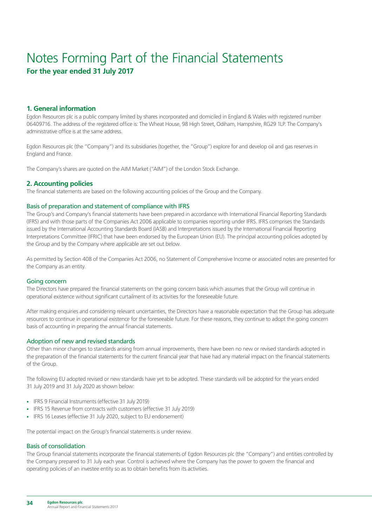### Notes Forming Part of the Financial Statements **For the year ended 31 July 2017**

#### **1. General information**

Egdon Resources plc is a public company limited by shares incorporated and domiciled in England & Wales with registered number 06409716. The address of the registered office is: The Wheat House, 98 High Street, Odiham, Hampshire, RG29 1LP. The Company's administrative office is at the same address.

Egdon Resources plc (the "Company") and its subsidiaries (together, the "Group") explore for and develop oil and gas reserves in England and France.

The Company's shares are quoted on the AIM Market ("AIM") of the London Stock Exchange.

#### **2. Accounting policies**

The financial statements are based on the following accounting policies of the Group and the Company.

#### Basis of preparation and statement of compliance with IFRS

The Group's and Company's financial statements have been prepared in accordance with International Financial Reporting Standards (IFRS) and with those parts of the Companies Act 2006 applicable to companies reporting under IFRS. IFRS comprises the Standards issued by the International Accounting Standards Board (IASB) and Interpretations issued by the International Financial Reporting Interpretations Committee (IFRIC) that have been endorsed by the European Union (EU). The principal accounting policies adopted by the Group and by the Company where applicable are set out below.

As permitted by Section 408 of the Companies Act 2006, no Statement of Comprehensive Income or associated notes are presented for the Company as an entity.

#### Going concern

The Directors have prepared the financial statements on the going concern basis which assumes that the Group will continue in operational existence without significant curtailment of its activities for the foreseeable future.

After making enquiries and considering relevant uncertainties, the Directors have a reasonable expectation that the Group has adequate resources to continue in operational existence for the foreseeable future. For these reasons, they continue to adopt the going concern basis of accounting in preparing the annual financial statements.

#### Adoption of new and revised standards

Other than minor changes to standards arising from annual improvements, there have been no new or revised standards adopted in the preparation of the financial statements for the current financial year that have had any material impact on the financial statements of the Group.

The following EU adopted revised or new standards have yet to be adopted. These standards will be adopted for the years ended 31 July 2019 and 31 July 2020 as shown below:

- IFRS 9 Financial Instruments (effective 31 July 2019)
- IFRS 15 Revenue from contracts with customers (effective 31 July 2019)
- IFRS 16 Leases (effective 31 July 2020, subject to EU endorsement)

The potential impact on the Group's financial statements is under review.

#### Basis of consolidation

The Group financial statements incorporate the financial statements of Egdon Resources plc (the "Company") and entities controlled by the Company prepared to 31 July each year. Control is achieved where the Company has the power to govern the financial and operating policies of an investee entity so as to obtain benefits from its activities.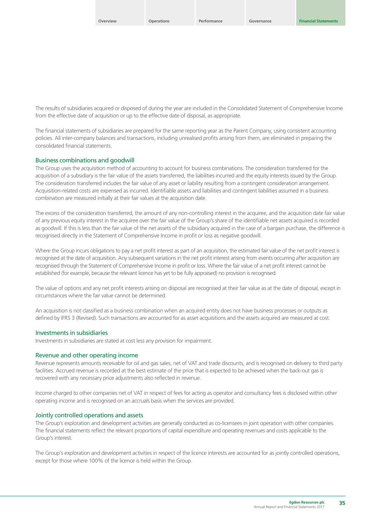The results of subsidiaries acquired or disposed of during the year are included in the Consolidated Statement of Comprehensive Income from the effective date of acquisition or up to the effective date of disposal, as appropriate.

The financial statements of subsidiaries are prepared for the same reporting year as the Parent Company, using consistent accounting policies. All inter-company balances and transactions, including unrealised profits arising from them, are eliminated in preparing the consolidated financial statements.

#### Business combinations and goodwill

The Group uses the acquisition method of accounting to account for business combinations. The consideration transferred for the acquisition of a subsidiary is the fair value of the assets transferred, the liabilities incurred and the equity interests issued by the Group. The consideration transferred includes the fair value of any asset or liability resulting from a contingent consideration arrangement. Acquisition-related costs are expensed as incurred. Identifiable assets and liabilities and contingent liabilities assumed in a business combination are measured initially at their fair values at the acquisition date.

The excess of the consideration transferred, the amount of any non-controlling interest in the acquiree, and the acquisition date fair value of any previous equity interest in the acquiree over the fair value of the Group's share of the identifiable net assets acquired is recorded as goodwill. If this is less than the fair value of the net assets of the subsidiary acquired in the case of a bargain purchase, the difference is recognised directly in the Statement of Comprehensive Income in profit or loss as negative goodwill.

Where the Group incurs obligations to pay a net profit interest as part of an acquisition, the estimated fair value of the net profit interest is recognised at the date of acquisition. Any subsequent variations in the net profit interest arising from events occurring after acquisition are recognised through the Statement of Comprehensive Income in profit or loss. Where the fair value of a net profit interest cannot be established (for example, because the relevant licence has yet to be fully appraised) no provision is recognised.

The value of options and any net profit interests arising on disposal are recognised at their fair value as at the date of disposal, except in circumstances where the fair value cannot be determined.

An acquisition is not classified as a business combination when an acquired entity does not have business processes or outputs as defined by IFRS 3 (Revised). Such transactions are accounted for as asset acquisitions and the assets acquired are measured at cost.

#### Investments in subsidiaries

Investments in subsidiaries are stated at cost less any provision for impairment.

#### Revenue and other operating income

Revenue represents amounts receivable for oil and gas sales, net of VAT and trade discounts, and is recognised on delivery to third party facilities. Accrued revenue is recorded at the best estimate of the price that is expected to be achieved when the back-out gas is recovered with any necessary price adjustments also reflected in revenue.

Income charged to other companies net of VAT in respect of fees for acting as operator and consultancy fees is disclosed within other operating income and is recognised on an accruals basis when the services are provided.

#### Jointly controlled operations and assets

The Group's exploration and development activities are generally conducted as co-licensees in joint operation with other companies. The financial statements reflect the relevant proportions of capital expenditure and operating revenues and costs applicable to the Group's interest.

The Group's exploration and development activities in respect of the licence interests are accounted for as jointly controlled operations, except for those where 100% of the licence is held within the Group.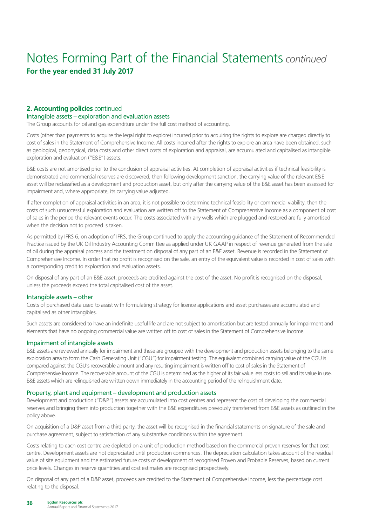### Notes Forming Part of the Financial Statements *continued* **For the year ended 31 July 2017**

#### **2. Accounting policies** continued Intangible assets – exploration and evaluation assets

The Group accounts for oil and gas expenditure under the full cost method of accounting.

Costs (other than payments to acquire the legal right to explore) incurred prior to acquiring the rights to explore are charged directly to cost of sales in the Statement of Comprehensive Income. All costs incurred after the rights to explore an area have been obtained, such as geological, geophysical, data costs and other direct costs of exploration and appraisal, are accumulated and capitalised as intangible exploration and evaluation ("E&E") assets.

E&E costs are not amortised prior to the conclusion of appraisal activities. At completion of appraisal activities if technical feasibility is demonstrated and commercial reserves are discovered, then following development sanction, the carrying value of the relevant E&E asset will be reclassified as a development and production asset, but only after the carrying value of the E&E asset has been assessed for impairment and, where appropriate, its carrying value adjusted.

If after completion of appraisal activities in an area, it is not possible to determine technical feasibility or commercial viability, then the costs of such unsuccessful exploration and evaluation are written off to the Statement of Comprehensive Income as a component of cost of sales in the period the relevant events occur. The costs associated with any wells which are plugged and restored are fully amortised when the decision not to proceed is taken.

As permitted by IFRS 6, on adoption of IFRS, the Group continued to apply the accounting guidance of the Statement of Recommended Practice issued by the UK Oil Industry Accounting Committee as applied under UK GAAP in respect of revenue generated from the sale of oil during the appraisal process and the treatment on disposal of any part of an E&E asset. Revenue is recorded in the Statement of Comprehensive Income. In order that no profit is recognised on the sale, an entry of the equivalent value is recorded in cost of sales with a corresponding credit to exploration and evaluation assets.

On disposal of any part of an E&E asset, proceeds are credited against the cost of the asset. No profit is recognised on the disposal, unless the proceeds exceed the total capitalised cost of the asset.

#### Intangible assets – other

Costs of purchased data used to assist with formulating strategy for licence applications and asset purchases are accumulated and capitalised as other intangibles.

Such assets are considered to have an indefinite useful life and are not subject to amortisation but are tested annually for impairment and elements that have no ongoing commercial value are written off to cost of sales in the Statement of Comprehensive Income.

#### Impairment of intangible assets

E&E assets are reviewed annually for impairment and these are grouped with the development and production assets belonging to the same exploration area to form the Cash Generating Unit ("CGU") for impairment testing. The equivalent combined carrying value of the CGU is compared against the CGU's recoverable amount and any resulting impairment is written off to cost of sales in the Statement of Comprehensive Income. The recoverable amount of the CGU is determined as the higher of its fair value less costs to sell and its value in use. E&E assets which are relinquished are written down immediately in the accounting period of the relinquishment date.

#### Property, plant and equipment – development and production assets

Development and production ("D&P") assets are accumulated into cost centres and represent the cost of developing the commercial reserves and bringing them into production together with the E&E expenditures previously transferred from E&E assets as outlined in the policy above.

On acquisition of a D&P asset from a third party, the asset will be recognised in the financial statements on signature of the sale and purchase agreement, subject to satisfaction of any substantive conditions within the agreement.

Costs relating to each cost centre are depleted on a unit of production method based on the commercial proven reserves for that cost centre. Development assets are not depreciated until production commences. The depreciation calculation takes account of the residual value of site equipment and the estimated future costs of development of recognised Proven and Probable Reserves, based on current price levels. Changes in reserve quantities and cost estimates are recognised prospectively.

On disposal of any part of a D&P asset, proceeds are credited to the Statement of Comprehensive Income, less the percentage cost relating to the disposal.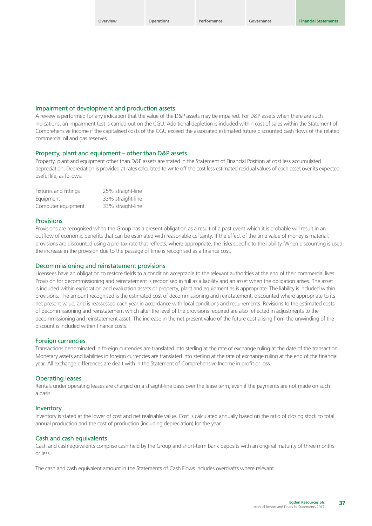#### Impairment of development and production assets

A review is performed for any indication that the value of the D&P assets may be impaired. For D&P assets when there are such indications, an impairment test is carried out on the CGU. Additional depletion is included within cost of sales within the Statement of Comprehensive Income if the capitalised costs of the CGU exceed the associated estimated future discounted cash flows of the related commercial oil and gas reserves.

#### Property, plant and equipment – other than D&P assets

Property, plant and equipment other than D&P assets are stated in the Statement of Financial Position at cost less accumulated depreciation. Depreciation is provided at rates calculated to write off the cost less estimated residual values of each asset over its expected useful life, as follows:

| Fixtures and fittings | 25% straight-line |
|-----------------------|-------------------|
| Equipment             | 33% straight-line |
| Computer equipment    | 33% straight-line |

#### **Provisions**

Provisions are recognised when the Group has a present obligation as a result of a past event which it is probable will result in an outflow of economic benefits that can be estimated with reasonable certainty. If the effect of the time value of money is material, provisions are discounted using a pre-tax rate that reflects, where appropriate, the risks specific to the liability. When discounting is used, the increase in the provision due to the passage of time is recognised as a finance cost.

#### Decommissioning and reinstatement provisions

Licensees have an obligation to restore fields to a condition acceptable to the relevant authorities at the end of their commercial lives. Provision for decommissioning and reinstatement is recognised in full as a liability and an asset when the obligation arises. The asset is included within exploration and evaluation assets or property, plant and equipment as is appropriate. The liability is included within provisions. The amount recognised is the estimated cost of decommissioning and reinstatement, discounted where appropriate to its net present value, and is reassessed each year in accordance with local conditions and requirements. Revisions to the estimated costs of decommissioning and reinstatement which alter the level of the provisions required are also reflected in adjustments to the decommissioning and reinstatement asset. The increase in the net present value of the future cost arising from the unwinding of the discount is included within finance costs.

#### Foreign currencies

Transactions denominated in foreign currencies are translated into sterling at the rate of exchange ruling at the date of the transaction. Monetary assets and liabilities in foreign currencies are translated into sterling at the rate of exchange ruling at the end of the financial year. All exchange differences are dealt with in the Statement of Comprehensive Income in profit or loss.

#### Operating leases

Rentals under operating leases are charged on a straight-line basis over the lease term, even if the payments are not made on such a basis.

#### Inventory

Inventory is stated at the lower of cost and net realisable value. Cost is calculated annually based on the ratio of closing stock to total annual production and the cost of production (including depreciation) for the year.

#### Cash and cash equivalents

Cash and cash equivalents comprise cash held by the Group and short-term bank deposits with an original maturity of three months or less.

The cash and cash equivalent amount in the Statements of Cash Flows includes overdrafts where relevant.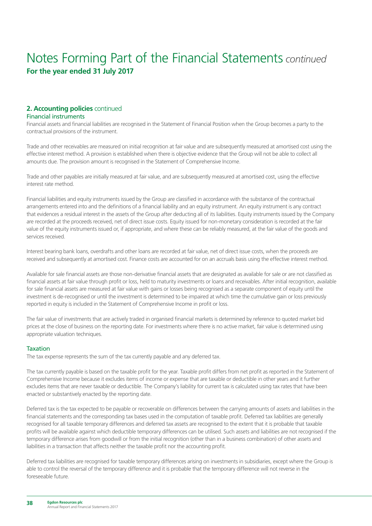### Notes Forming Part of the Financial Statements *continued* **For the year ended 31 July 2017**

#### **2. Accounting policies** continued Financial instruments

Financial assets and financial liabilities are recognised in the Statement of Financial Position when the Group becomes a party to the contractual provisions of the instrument.

Trade and other receivables are measured on initial recognition at fair value and are subsequently measured at amortised cost using the effective interest method. A provision is established when there is objective evidence that the Group will not be able to collect all amounts due. The provision amount is recognised in the Statement of Comprehensive Income.

Trade and other payables are initially measured at fair value, and are subsequently measured at amortised cost, using the effective interest rate method.

Financial liabilities and equity instruments issued by the Group are classified in accordance with the substance of the contractual arrangements entered into and the definitions of a financial liability and an equity instrument. An equity instrument is any contract that evidences a residual interest in the assets of the Group after deducting all of its liabilities. Equity instruments issued by the Company are recorded at the proceeds received, net of direct issue costs. Equity issued for non-monetary consideration is recorded at the fair value of the equity instruments issued or, if appropriate, and where these can be reliably measured, at the fair value of the goods and services received.

Interest bearing bank loans, overdrafts and other loans are recorded at fair value, net of direct issue costs, when the proceeds are received and subsequently at amortised cost. Finance costs are accounted for on an accruals basis using the effective interest method.

Available for sale financial assets are those non-derivative financial assets that are designated as available for sale or are not classified as financial assets at fair value through profit or loss, held to maturity investments or loans and receivables. After initial recognition, available for sale financial assets are measured at fair value with gains or losses being recognised as a separate component of equity until the investment is de-recognised or until the investment is determined to be impaired at which time the cumulative gain or loss previously reported in equity is included in the Statement of Comprehensive Income in profit or loss.

The fair value of investments that are actively traded in organised financial markets is determined by reference to quoted market bid prices at the close of business on the reporting date. For investments where there is no active market, fair value is determined using appropriate valuation techniques.

#### **Taxation**

The tax expense represents the sum of the tax currently payable and any deferred tax.

The tax currently payable is based on the taxable profit for the year. Taxable profit differs from net profit as reported in the Statement of Comprehensive Income because it excludes items of income or expense that are taxable or deductible in other years and it further excludes items that are never taxable or deductible. The Company's liability for current tax is calculated using tax rates that have been enacted or substantively enacted by the reporting date.

Deferred tax is the tax expected to be payable or recoverable on differences between the carrying amounts of assets and liabilities in the financial statements and the corresponding tax bases used in the computation of taxable profit. Deferred tax liabilities are generally recognised for all taxable temporary differences and deferred tax assets are recognised to the extent that it is probable that taxable profits will be available against which deductible temporary differences can be utilised. Such assets and liabilities are not recognised if the temporary difference arises from goodwill or from the initial recognition (other than in a business combination) of other assets and liabilities in a transaction that affects neither the taxable profit nor the accounting profit.

Deferred tax liabilities are recognised for taxable temporary differences arising on investments in subsidiaries, except where the Group is able to control the reversal of the temporary difference and it is probable that the temporary difference will not reverse in the foreseeable future.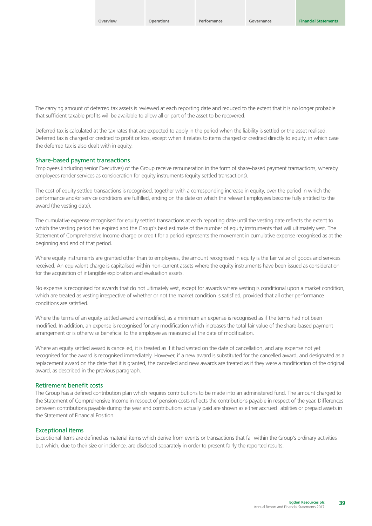The carrying amount of deferred tax assets is reviewed at each reporting date and reduced to the extent that it is no longer probable that sufficient taxable profits will be available to allow all or part of the asset to be recovered.

Deferred tax is calculated at the tax rates that are expected to apply in the period when the liability is settled or the asset realised. Deferred tax is charged or credited to profit or loss, except when it relates to items charged or credited directly to equity, in which case the deferred tax is also dealt with in equity.

#### Share-based payment transactions

Employees (including senior Executives) of the Group receive remuneration in the form of share-based payment transactions, whereby employees render services as consideration for equity instruments (equity settled transactions).

The cost of equity settled transactions is recognised, together with a corresponding increase in equity, over the period in which the performance and/or service conditions are fulfilled, ending on the date on which the relevant employees become fully entitled to the award (the vesting date).

The cumulative expense recognised for equity settled transactions at each reporting date until the vesting date reflects the extent to which the vesting period has expired and the Group's best estimate of the number of equity instruments that will ultimately vest. The Statement of Comprehensive Income charge or credit for a period represents the movement in cumulative expense recognised as at the beginning and end of that period.

Where equity instruments are granted other than to employees, the amount recognised in equity is the fair value of goods and services received. An equivalent charge is capitalised within non-current assets where the equity instruments have been issued as consideration for the acquisition of intangible exploration and evaluation assets.

No expense is recognised for awards that do not ultimately vest, except for awards where vesting is conditional upon a market condition, which are treated as vesting irrespective of whether or not the market condition is satisfied, provided that all other performance conditions are satisfied.

Where the terms of an equity settled award are modified, as a minimum an expense is recognised as if the terms had not been modified. In addition, an expense is recognised for any modification which increases the total fair value of the share-based payment arrangement or is otherwise beneficial to the employee as measured at the date of modification.

Where an equity settled award is cancelled, it is treated as if it had vested on the date of cancellation, and any expense not yet recognised for the award is recognised immediately. However, if a new award is substituted for the cancelled award, and designated as a replacement award on the date that it is granted, the cancelled and new awards are treated as if they were a modification of the original award, as described in the previous paragraph.

#### Retirement benefit costs

The Group has a defined contribution plan which requires contributions to be made into an administered fund. The amount charged to the Statement of Comprehensive Income in respect of pension costs reflects the contributions payable in respect of the year. Differences between contributions payable during the year and contributions actually paid are shown as either accrued liabilities or prepaid assets in the Statement of Financial Position.

#### Exceptional items

Exceptional items are defined as material items which derive from events or transactions that fall within the Group's ordinary activities but which, due to their size or incidence, are disclosed separately in order to present fairly the reported results.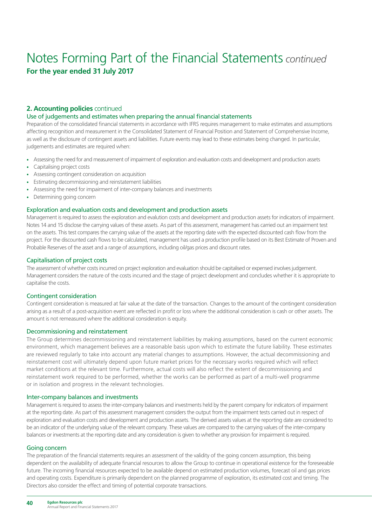### Notes Forming Part of the Financial Statements *continued* **For the year ended 31 July 2017**

### **2. Accounting policies** continued

#### Use of judgements and estimates when preparing the annual financial statements

Preparation of the consolidated financial statements in accordance with IFRS requires management to make estimates and assumptions affecting recognition and measurement in the Consolidated Statement of Financial Position and Statement of Comprehensive Income, as well as the disclosure of contingent assets and liabilities. Future events may lead to these estimates being changed. In particular, judgements and estimates are required when:

- Assessing the need for and measurement of impairment of exploration and evaluation costs and development and production assets
- Capitalising project costs
- Assessing contingent consideration on acquisition
- Estimating decommissioning and reinstatement liabilities
- Assessing the need for impairment of inter-company balances and investments
- Determining going concern

#### Exploration and evaluation costs and development and production assets

Management is required to assess the exploration and evalution costs and development and production assets for indicators of impairment. Notes 14 and 15 disclose the carrying values of these assets. As part of this assessment, management has carried out an impairment test on the assets. This test compares the carrying value of the assets at the reporting date with the expected discounted cash flow from the project. For the discounted cash flows to be calculated, management has used a production profile based on its Best Estimate of Proven and Probable Reserves of the asset and a range of assumptions, including oil/gas prices and discount rates.

#### Capitalisation of project costs

The assessment of whether costs incurred on project exploration and evaluation should be capitalised or expensed involves judgement. Management considers the nature of the costs incurred and the stage of project development and concludes whether it is appropriate to capitalise the costs.

#### Contingent consideration

Contingent consideration is measured at fair value at the date of the transaction. Changes to the amount of the contingent consideration arising as a result of a post-acquisition event are reflected in profit or loss where the additional consideration is cash or other assets. The amount is not remeasured where the additional consideration is equity.

#### Decommissioning and reinstatement

The Group determines decommissioning and reinstatement liabilities by making assumptions, based on the current economic environment, which management believes are a reasonable basis upon which to estimate the future liability. These estimates are reviewed regularly to take into account any material changes to assumptions. However, the actual decommissioning and reinstatement cost will ultimately depend upon future market prices for the necessary works required which will reflect market conditions at the relevant time. Furthermore, actual costs will also reflect the extent of decommissioning and reinstatement work required to be performed, whether the works can be performed as part of a multi-well programme or in isolation and progress in the relevant technologies.

#### Inter-company balances and investments

Management is required to assess the inter-company balances and investments held by the parent company for indicators of impairment at the reporting date. As part of this assessment management considers the output from the impairment tests carried out in respect of exploration and evaluation costs and development and production assets. The derived assets values at the reporting date are considered to be an indicator of the underlying value of the relevant company. These values are compared to the carrying values of the inter-company balances or investments at the reporting date and any consideration is given to whether any provision for impairment is required.

#### Going concern

The preparation of the financial statements requires an assessment of the validity of the going concern assumption, this being dependent on the availability of adequate financial resources to allow the Group to continue in operational existence for the foreseeable future. The incoming financial resources expected to be available depend on estimated production volumes, forecast oil and gas prices and operating costs. Expenditure is primarily dependent on the planned programme of exploration, its estimated cost and timing. The Directors also consider the effect and timing of potential corporate transactions.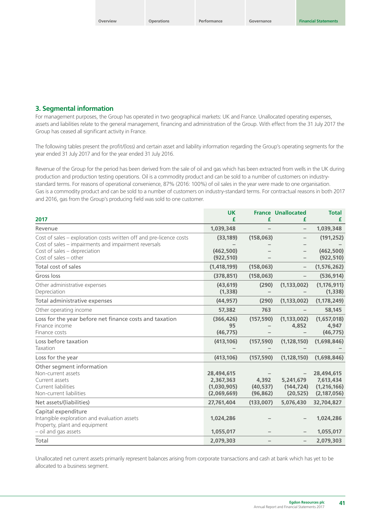#### **3. Segmental information**

For management purposes, the Group has operated in two geographical markets: UK and France. Unallocated operating expenses, assets and liabilities relate to the general management, financing and administration of the Group. With effect from the 31 July 2017 the Group has ceased all significant activity in France.

The following tables present the profit/(loss) and certain asset and liability information regarding the Group's operating segments for the year ended 31 July 2017 and for the year ended 31 July 2016.

Revenue of the Group for the period has been derived from the sale of oil and gas which has been extracted from wells in the UK during production and production testing operations. Oil is a commodity product and can be sold to a number of customers on industrystandard terms. For reasons of operational convenience, 87% (2016: 100%) of oil sales in the year were made to one organisation. Gas is a commodity product and can be sold to a number of customers on industry-standard terms. For contractual reasons in both 2017 and 2016, gas from the Group's producing field was sold to one customer.

|                                                                     | <b>UK</b>   |            | <b>France Unallocated</b> | <b>Total</b>  |
|---------------------------------------------------------------------|-------------|------------|---------------------------|---------------|
| 2017                                                                | £           | £          | £                         | £             |
| Revenue                                                             | 1,039,348   |            | $\qquad \qquad -$         | 1,039,348     |
| Cost of sales - exploration costs written off and pre-licence costs | (33, 189)   | (158, 063) | $\qquad \qquad -$         | (191, 252)    |
| Cost of sales - impairments and impairment reversals                |             |            |                           |               |
| Cost of sales - depreciation                                        | (462, 500)  |            |                           | (462, 500)    |
| Cost of sales - other                                               | (922, 510)  |            |                           | (922, 510)    |
| Total cost of sales                                                 | (1,418,199) | (158, 063) | $\qquad \qquad -$         | (1, 576, 262) |
| Gross loss                                                          | (378, 851)  | (158, 063) |                           | (536, 914)    |
| Other administrative expenses                                       | (43, 619)   | (290)      | (1, 133, 002)             | (1, 176, 911) |
| Depreciation                                                        | (1, 338)    |            |                           | (1, 338)      |
| Total administrative expenses                                       | (44, 957)   | (290)      | (1, 133, 002)             | (1, 178, 249) |
| Other operating income                                              | 57,382      | 763        |                           | 58,145        |
| Loss for the year before net finance costs and taxation             | (366, 426)  | (157, 590) | (1, 133, 002)             | (1,657,018)   |
| Finance income                                                      | 95          |            | 4,852                     | 4,947         |
| Finance costs                                                       | (46, 775)   |            |                           | (46, 775)     |
| Loss before taxation                                                | (413, 106)  | (157, 590) | (1, 128, 150)             | (1,698,846)   |
| Taxation                                                            |             |            |                           |               |
| Loss for the year                                                   | (413, 106)  | (157, 590) | (1, 128, 150)             | (1,698,846)   |
| Other segment information                                           |             |            |                           |               |
| Non-current assets                                                  | 28,494,615  |            |                           | 28,494,615    |
| Current assets                                                      | 2,367,363   | 4,392      | 5,241,679                 | 7,613,434     |
| Current liabilities                                                 | (1,030,905) | (40, 537)  | (144, 724)                | (1, 216, 166) |
| Non-current liabilities                                             | (2,069,669) | (96, 862)  | (20, 525)                 | (2, 187, 056) |
| Net assets/(liabilities)                                            | 27,761,404  | (133,007)  | 5,076,430                 | 32,704,827    |
| Capital expenditure                                                 |             |            |                           |               |
| Intangible exploration and evaluation assets                        | 1,024,286   |            |                           | 1,024,286     |
| Property, plant and equipment                                       |             |            |                           |               |
| - oil and gas assets                                                | 1,055,017   |            |                           | 1,055,017     |
| Total                                                               | 2,079,303   |            |                           | 2,079,303     |

Unallocated net current assets primarily represent balances arising from corporate transactions and cash at bank which has yet to be allocated to a business segment.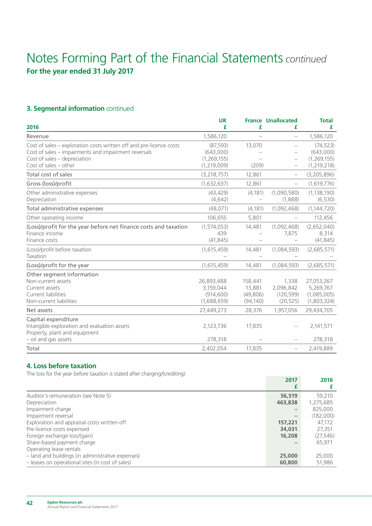### Notes Forming Part of the Financial Statements *continued* **For the year ended 31 July 2017**

### **3. Segmental information** continued

| 2016                                                                                                                                                                                 | <b>UK</b><br>£                                           | £                                          | <b>France Unallocated</b><br>£                | <b>Total</b><br>£                                        |
|--------------------------------------------------------------------------------------------------------------------------------------------------------------------------------------|----------------------------------------------------------|--------------------------------------------|-----------------------------------------------|----------------------------------------------------------|
| Revenue                                                                                                                                                                              | 1,586,120                                                |                                            | $\overline{\phantom{0}}$                      | 1,586,120                                                |
| Cost of sales - exploration costs written off and pre-licence costs<br>Cost of sales - impairments and impairment reversals<br>Cost of sales - depreciation<br>Cost of sales - other | (87, 593)<br>(643,000)<br>(1, 269, 155)<br>(1, 219, 009) | 13,070<br>(209)                            |                                               | (74, 523)<br>(643,000)<br>(1, 269, 155)<br>(1, 219, 218) |
| Total cost of sales                                                                                                                                                                  | (3, 218, 757)                                            | 12,861                                     | $\qquad \qquad -$                             | (3,205,896)                                              |
| Gross (loss)/profit                                                                                                                                                                  | (1,632,637)                                              | 12,861                                     | $\qquad \qquad -$                             | (1,619,776)                                              |
| Other administrative expenses<br>Depreciation                                                                                                                                        | (43, 429)<br>(4,642)                                     | (4, 181)<br>$\qquad \qquad -$              | (1,090,580)<br>(1,888)                        | (1, 138, 190)<br>(6, 530)                                |
| Total administrative expenses                                                                                                                                                        | (48,071)                                                 | (4, 181)                                   | (1,092,468)                                   | (1, 144, 720)                                            |
| Other operating income                                                                                                                                                               | 106,655                                                  | 5,801                                      |                                               | 112,456                                                  |
| (Loss)/profit for the year before net finance costs and taxation<br>Finance income<br>Finance costs                                                                                  | (1,574,053)<br>439<br>(41, 845)                          | 14,481                                     | (1,092,468)<br>7,875                          | (2,652,040)<br>8,314<br>(41, 845)                        |
| (Loss)/profit before taxation<br>Taxation                                                                                                                                            | (1,615,459)                                              | 14,481                                     | (1,084,593)                                   | (2,685,571)                                              |
| (Loss)/profit for the year                                                                                                                                                           | (1,615,459)                                              | 14,481                                     | (1,084,593)                                   | (2,685,571)                                              |
| Other segment information<br>Non-current assets<br>Current assets<br>Current liabilities<br>Non-current liabilities                                                                  | 26,893,488<br>3,159,044<br>(914, 600)<br>(1,688,659)     | 158,441<br>13,881<br>(49,806)<br>(94, 140) | 1,338<br>2,096,842<br>(120, 599)<br>(20, 525) | 27,053,267<br>5,269,767<br>(1,085,005)<br>(1,803,324)    |
| Net assets                                                                                                                                                                           | 27,449,273                                               | 28,376                                     | 1,957,056                                     | 29,434,705                                               |
| Capital expenditure<br>Intangible exploration and evaluation assets<br>Property, plant and equipment<br>- oil and gas assets                                                         | 2,123,736<br>278,318                                     | 17,835                                     |                                               | 2,141,571<br>278,318                                     |
| Total                                                                                                                                                                                | 2,402,054                                                | 17,835                                     | $\qquad \qquad -$                             | 2,419,889                                                |

#### **4. Loss before taxation**

The loss for the year before taxation is stated after charging/(crediting):

|                                                   | 2017    | 2016      |
|---------------------------------------------------|---------|-----------|
|                                                   |         |           |
| Auditor's remuneration (see Note 5)               | 56,519  | 59.210    |
| Depreciation                                      | 463,838 | 1,275,685 |
| Impairment charge                                 |         | 825,000   |
| Impairment reversal                               |         | (182,000) |
| Exploration and appraisal costs written off       | 157,221 | 47,172    |
| Pre-licence costs expensed                        | 34,031  | 27,351    |
| Foreign exchange loss/(gain)                      | 16,208  | (27, 546) |
| Share-based payment charge                        |         | 65,971    |
| Operating lease rentals                           |         |           |
| - land and buildings (in administrative expenses) | 25,000  | 25,000    |
| - leases on operational sites (in cost of sales)  | 60,800  | 51,986    |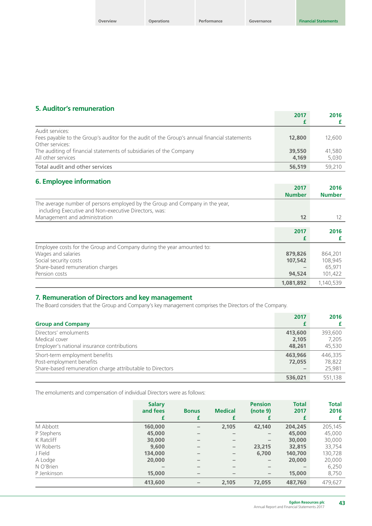|  | <b>verview</b> |  |  |
|--|----------------|--|--|
|  |                |  |  |

### **5. Auditor's remuneration**

| <u>a. Additor a remaneration</u>                                                                                                                                          |                              |                                         |
|---------------------------------------------------------------------------------------------------------------------------------------------------------------------------|------------------------------|-----------------------------------------|
|                                                                                                                                                                           | 2017<br>£                    | 2016<br>£                               |
| Audit services:<br>Fees payable to the Group's auditor for the audit of the Group's annual financial statements<br>Other services:                                        | 12,800                       | 12,600                                  |
| The auditing of financial statements of subsidiaries of the Company<br>All other services                                                                                 | 39,550<br>4,169              | 41,580<br>5,030                         |
| Total audit and other services                                                                                                                                            | 56,519                       | 59,210                                  |
|                                                                                                                                                                           |                              |                                         |
| <b>6. Employee information</b>                                                                                                                                            | 2017<br><b>Number</b>        | 2016<br><b>Number</b>                   |
| The average number of persons employed by the Group and Company in the year,<br>including Executive and Non-executive Directors, was:                                     |                              |                                         |
| Management and administration                                                                                                                                             | 12                           | $12 \overline{ }$                       |
|                                                                                                                                                                           | 2017<br>£                    | 2016<br>£                               |
| Employee costs for the Group and Company during the year amounted to:<br>Wages and salaries<br>Social security costs<br>Share-based remuneration charges<br>Pension costs | 879,826<br>107,542<br>94,524 | 864,201<br>108,945<br>65,971<br>101,422 |
|                                                                                                                                                                           | 1,081,892                    | 1,140,539                               |

#### **7. Remuneration of Directors and key management**

The Board considers that the Group and Company's key management comprises the Directors of the Company.

|                                                           | 2017    | 2016    |
|-----------------------------------------------------------|---------|---------|
| <b>Group and Company</b>                                  |         |         |
| Directors' emoluments                                     | 413,600 | 393,600 |
| Medical cover                                             | 2.105   | 7,205   |
| Employer's national insurance contributions               | 48,261  | 45,530  |
| Short-term employment benefits                            | 463,966 | 446.335 |
| Post-employment benefits                                  | 72,055  | 78,822  |
| Share-based remuneration charge attributable to Directors |         | 25,981  |
|                                                           | 536,021 | 551.138 |

The emoluments and compensation of individual Directors were as follows:

|             | <b>Salary</b><br>and fees | <b>Bonus</b>                 | <b>Medical</b> | <b>Pension</b><br>(note 9) | <b>Total</b><br>2017 | <b>Total</b><br>2016 |
|-------------|---------------------------|------------------------------|----------------|----------------------------|----------------------|----------------------|
|             | £                         | £                            | £              | £                          |                      |                      |
| M Abbott    | 160,000                   | $\qquad \qquad -$            | 2,105          | 42,140                     | 204,245              | 205,145              |
| P Stephens  | 45,000                    | $\overline{\phantom{0}}$     |                | $\qquad \qquad -$          | 45,000               | 45,000               |
| K Ratcliff  | 30,000                    | $\overline{\phantom{0}}$     |                | $\qquad \qquad$            | 30,000               | 30,000               |
| W Roberts   | 9,600                     | -                            | -              | 23,215                     | 32,815               | 33,754               |
| J Field     | 134,000                   | $\qquad \qquad \blacksquare$ | -              | 6,700                      | 140,700              | 130,728              |
| A Lodge     | 20,000                    | $\overline{\phantom{0}}$     |                | $\qquad \qquad -$          | 20,000               | 20,000               |
| N O'Brien   |                           |                              |                | $\qquad \qquad$            |                      | 6,250                |
| P Jenkinson | 15,000                    |                              |                | $\qquad \qquad -$          | 15,000               | 8,750                |
|             | 413,600                   | -                            | 2,105          | 72,055                     | 487,760              | 479.627              |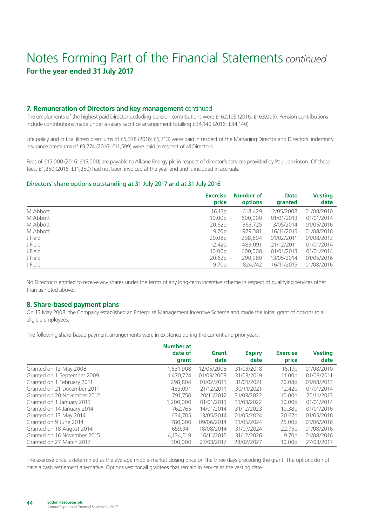### Notes Forming Part of the Financial Statements *continued* **For the year ended 31 July 2017**

#### **7. Remuneration of Directors and key management** continued

The emoluments of the highest paid Director excluding pension contributions were £162,105 (2016: £163,005). Pension contributions include contributions made under a salary sacrifice arrangement totalling £34,140 (2016: £34,140).

Life policy and critical illness premiums of £5,378 (2016: £5,713) were paid in respect of the Managing Director and Directors' indemnity insurance premiums of £9,774 (2016: £11,599) were paid in respect of all Directors.

Fees of £15,000 (2016: £15,000) are payable to Alkane Energy plc in respect of director's services provided by Paul Jenkinson. Of these fees, £1,250 (2016: £11,250) had not been invoiced at the year end and is included in accruals.

#### Directors' share options outstanding at 31 July 2017 and at 31 July 2016

|          | <b>Exercise</b><br>price | Number of<br>options | <b>Date</b><br>granted | <b>Vesting</b><br>date |
|----------|--------------------------|----------------------|------------------------|------------------------|
| M Abbott | 16.17p                   | 618,429              | 12/05/2008             | 01/08/2010             |
| M Abbott | 10.00 <sub>p</sub>       | 600,000              | 01/01/2013             | 01/01/2014             |
| M Abbott | 20.62p                   | 363,725              | 13/05/2014             | 01/05/2016             |
| M Abbott | 9.70 <sub>p</sub>        | 979.381              | 16/11/2015             | 01/08/2016             |
| J Field  | 20.08p                   | 298.804              | 01/02/2011             | 01/08/2013             |
| J Field  | 12.42p                   | 483.091              | 21/12/2011             | 01/01/2014             |
| J Field  | 10.00 <sub>p</sub>       | 600,000              | 01/01/2013             | 01/01/2014             |
| J Field  | 20.62p                   | 290,980              | 13/05/2014             | 01/05/2016             |
| J Field  | 9.70 <sub>p</sub>        | 824,742              | 16/11/2015             | 01/08/2016             |

No Director is entitled to receive any shares under the terms of any long-term incentive scheme in respect of qualifying services other than as noted above.

#### **8. Share-based payment plans**

On 13 May 2008, the Company established an Enterprise Management Incentive Scheme and made the initial grant of options to all eligible employees.

The following share-based payment arrangements were in existence during the current and prior years:

|                             | <b>Number at</b><br>date of | Grant<br>date | <b>Expiry</b><br>date | <b>Exercise</b>    | <b>Vesting</b><br>date |
|-----------------------------|-----------------------------|---------------|-----------------------|--------------------|------------------------|
|                             | grant                       |               |                       | price              |                        |
| Granted on 12 May 2008      | 1,631,908                   | 12/05/2008    | 31/03/2018            | 16.17p             | 01/08/2010             |
| Granted on 1 September 2009 | 1.470.724                   | 01/09/2009    | 31/03/2019            | 11.00 <sub>p</sub> | 01/09/2011             |
| Granted on 1 February 2011  | 298.804                     | 01/02/2011    | 31/01/2021            | 20.08 <sub>p</sub> | 01/08/2013             |
| Granted on 21 December 2011 | 483.091                     | 21/12/2011    | 30/11/2021            | 12.42p             | 01/01/2014             |
| Granted on 20 November 2012 | 791.750                     | 20/11/2012    | 31/03/2022            | 10.00p             | 20/11/2013             |
| Granted on 1 January 2013   | 1,200,000                   | 01/01/2013    | 31/03/2022            | 10.00p             | 01/01/2014             |
| Granted on 14 January 2014  | 762.765                     | 14/01/2014    | 31/12/2023            | 10.38p             | 01/01/2016             |
| Granted on 13 May 2014      | 654.705                     | 13/05/2014    | 01/05/2024            | 20.62p             | 01/05/2016             |
| Granted on 9 June 2014      | 780.000                     | 09/06/2014    | 31/05/2024            | 26.00 <sub>p</sub> | 01/06/2016             |
| Granted on 18 August 2014   | 659.341                     | 18/08/2014    | 31/07/2024            | 22.75p             | 01/08/2016             |
| Granted on 16 November 2015 | 4.134.019                   | 16/11/2015    | 31/12/2026            | 9.70 <sub>p</sub>  | 01/08/2016             |
| Granted on 27 March 2017    | 300.000                     | 27/03/2017    | 28/02/2027            | 10.00p             | 27/03/2017             |

The exercise price is determined as the average middle-market closing price on the three days preceding the grant. The options do not have a cash settlement alternative. Options vest for all grantees that remain in service at the vesting date.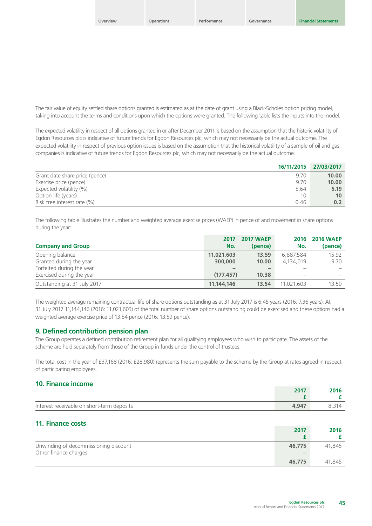The fair value of equity settled share options granted is estimated as at the date of grant using a Black-Scholes option pricing model, taking into account the terms and conditions upon which the options were granted. The following table lists the inputs into the model.

The expected volatility in respect of all options granted in or after December 2011 is based on the assumption that the historic volatility of Egdon Resources plc is indicative of future trends for Egdon Resources plc, which may not necessarily be the actual outcome. The expected volatility in respect of previous option issues is based on the assumption that the historical volatility of a sample of oil and gas companies is indicative of future trends for Egdon Resources plc, which may not necessarily be the actual outcome.

| 16/11/2015                             | 27/03/2017 |
|----------------------------------------|------------|
| Grant date share price (pence)<br>9.70 | 10.00      |
| 9.70<br>Exercise price (pence)         | 10.00      |
| Expected volatility (%)<br>5.64        | 5.19       |
| Option life (years)<br>10              | 10         |
| Risk free interest rate (%)<br>0.46    | 0.2        |

The following table illustrates the number and weighted average exercise prices (WAEP) in pence of and movement in share options during the year:

| <b>Company and Group</b>                                                                             | 2017<br>No.                         | <b>2017 WAEP</b><br>(pence) | 2016<br>No.                 | <b>2016 WAEP</b><br>(pence) |
|------------------------------------------------------------------------------------------------------|-------------------------------------|-----------------------------|-----------------------------|-----------------------------|
| Opening balance<br>Granted during the year<br>Forfeited during the year<br>Exercised during the year | 11,021,603<br>300,000<br>(177, 457) | 13.59<br>10.00<br>10.38     | 6,887,584<br>4,134,019<br>- | 15.92<br>9.70               |
| Outstanding at 31 July 2017                                                                          | 11,144,146                          | 13.54                       | 11.021.603                  | 13.59                       |

The weighted average remaining contractual life of share options outstanding as at 31 July 2017 is 6.45 years (2016: 7.36 years). At 31 July 2017 11,144,146 (2016: 11,021,603) of the total number of share options outstanding could be exercised and these options had a weighted average exercise price of 13.54 pence (2016: 13.59 pence).

#### **9. Defined contribution pension plan**

The Group operates a defined contribution retirement plan for all qualifying employees who wish to participate. The assets of the scheme are held separately from those of the Group in funds under the control of trustees.

The total cost in the year of £37,168 (2016: £28,980) represents the sum payable to the scheme by the Group at rates agreed in respect of participating employees.

#### **10. Finance income**

|                                            | 20 I Z | ZV I D |
|--------------------------------------------|--------|--------|
| Interest receivable on short-term deposits | 4,947  | 8,314  |
| <b>11. Finance costs</b>                   | 2017   | 2016   |
|                                            |        |        |
| Unwinding of decommissioning discount      | 46,775 | 41,845 |
| Other finance charges                      |        |        |

**46,775** 41,845

**2017** 

**2016**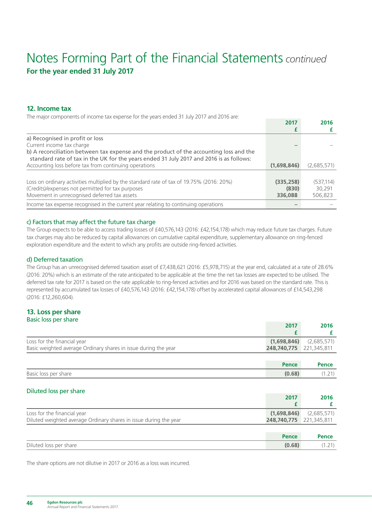### Notes Forming Part of the Financial Statements *continued* **For the year ended 31 July 2017**

#### **12. Income tax**

The major components of income tax expense for the years ended 31 July 2017 and 2016 are:

| The major components of income tax expense for the years ended 31 July 2017 and 2016 are:                                                                                         |             |             |
|-----------------------------------------------------------------------------------------------------------------------------------------------------------------------------------|-------------|-------------|
|                                                                                                                                                                                   | 2017        | 2016        |
|                                                                                                                                                                                   |             |             |
| a) Recognised in profit or loss                                                                                                                                                   |             |             |
| Current income tax charge                                                                                                                                                         |             |             |
| b) A reconciliation between tax expense and the product of the accounting loss and the<br>standard rate of tax in the UK for the years ended 31 July 2017 and 2016 is as follows: |             |             |
| Accounting loss before tax from continuing operations                                                                                                                             | (1,698,846) | (2,685,571) |
|                                                                                                                                                                                   |             |             |
| Loss on ordinary activities multiplied by the standard rate of tax of 19.75% (2016: 20%)                                                                                          | (335, 258)  | (537, 114)  |
| (Credits)/expenses not permitted for tax purposes                                                                                                                                 | (830)       | 30.291      |
| Movement in unrecognised deferred tax assets                                                                                                                                      | 336,088     | 506,823     |
| Income tax expense recognised in the current year relating to continuing operations                                                                                               |             |             |

#### c) Factors that may affect the future tax charge

The Group expects to be able to access trading losses of £40,576,143 (2016: £42,154,178) which may reduce future tax charges. Future tax charges may also be reduced by capital allowances on cumulative capital expenditure, supplementary allowance on ring-fenced exploration expenditure and the extent to which any profits are outside ring-fenced activities.

#### d) Deferred taxation

The Group has an unrecognised deferred taxation asset of £7,438,621 (2016: £5,978,715) at the year end, calculated at a rate of 28.6% (2016: 20%) which is an estimate of the rate anticipated to be applicable at the time the net tax losses are expected to be utilised. The deferred tax rate for 2017 is based on the rate applicable to ring-fenced activities and for 2016 was based on the standard rate. This is represented by accumulated tax losses of £40,576,143 (2016: £42,154,178) offset by accelerated capital allowances of £14,543,298 (2016: £12,260,604).

#### **13. Loss per share** Basic loss per share

|                                                                   | 2017         | 2016         |
|-------------------------------------------------------------------|--------------|--------------|
|                                                                   |              | £            |
| Loss for the financial year                                       | (1,698,846)  | (2,685,571)  |
| Basic weighted average Ordinary shares in issue during the year   | 248,740,775  | 221,345,811  |
|                                                                   |              |              |
|                                                                   | Pence        | <b>Pence</b> |
| Basic loss per share                                              | (0.68)       | (1.21)       |
|                                                                   |              |              |
| Diluted loss per share                                            |              |              |
|                                                                   | 2017         | 2016         |
|                                                                   |              | £            |
| Loss for the financial year                                       | (1,698,846)  | (2,685,571)  |
| Diluted weighted average Ordinary shares in issue during the year | 248,740,775  | 221,345,811  |
|                                                                   |              |              |
|                                                                   | <b>Pence</b> | <b>Pence</b> |
| Diluted loss per share                                            | (0.68)       | (1.21)       |
|                                                                   |              |              |

The share options are not dilutive in 2017 or 2016 as a loss was incurred.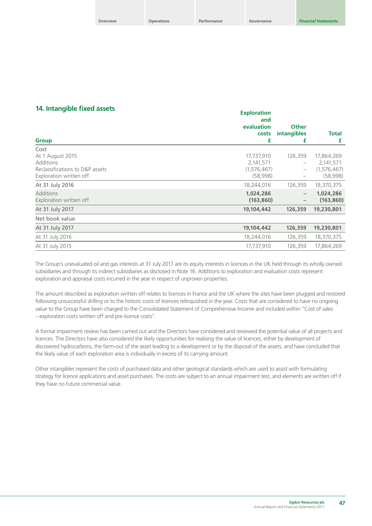#### **14. Intangible fixed assets**

| 14. Milangible Tixed assels     | <b>Exploration</b><br>and<br>evaluation | <b>Other</b>       |             |
|---------------------------------|-----------------------------------------|--------------------|-------------|
|                                 | costs                                   | <b>intangibles</b> | Total       |
| <b>Group</b>                    | £                                       | £                  | £           |
| Cost                            |                                         |                    |             |
| At 1 August 2015                | 17,737,910                              | 126,359            | 17,864,269  |
| Additions                       | 2,141,571                               |                    | 2,141,571   |
| Reclassifications to D&P assets | (1, 576, 467)                           |                    | (1,576,467) |
| Exploration written off         | (58,998)                                |                    | (58,998)    |
| At 31 July 2016                 | 18,244,016                              | 126,359            | 18,370,375  |
| <b>Additions</b>                | 1,024,286                               | $\qquad \qquad -$  | 1,024,286   |
| Exploration written off         | (163, 860)                              |                    | (163, 860)  |
| At 31 July 2017                 | 19,104,442                              | 126,359            | 19,230,801  |
| Net book value                  |                                         |                    |             |
| At 31 July 2017                 | 19,104,442                              | 126,359            | 19,230,801  |
| At 31 July 2016                 | 18,244,016                              | 126,359            | 18,370,375  |
| At 31 July 2015                 | 17,737,910                              | 126,359            | 17,864,269  |

The Group's unevaluated oil and gas interests at 31 July 2017 are its equity interests in licences in the UK held through its wholly owned subsidiaries and through its indirect subsidiaries as disclosed in Note 16. Additions to exploration and evaluation costs represent exploration and appraisal costs incurred in the year in respect of unproven properties.

The amount described as exploration written off relates to licences in France and the UK where the sites have been plugged and restored following unsuccessful drilling or to the historic costs of licences relinquished in the year. Costs that are considered to have no ongoing value to the Group have been charged to the Consolidated Statement of Comprehensive Income and included within "Cost of sales – exploration costs written off and pre-licence costs".

A formal impairment review has been carried out and the Directors have considered and reviewed the potential value of all projects and licences. The Directors have also considered the likely opportunities for realising the value of licences, either by development of discovered hydrocarbons, the farm-out of the asset leading to a development or by the disposal of the assets, and have concluded that the likely value of each exploration area is individually in excess of its carrying amount.

Other intangibles represent the costs of purchased data and other geological standards which are used to assist with formulating strategy for licence applications and asset purchases. The costs are subject to an annual impairment test, and elements are written off if they have no future commercial value.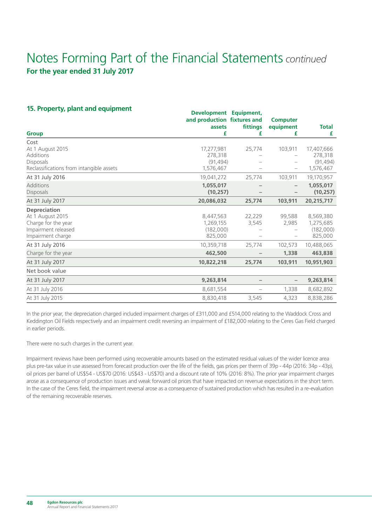### Notes Forming Part of the Financial Statements *continued* **For the year ended 31 July 2017**

#### **15. Property, plant and equipment**

|                                          | Development Equipment,      |                                   |                          |            |
|------------------------------------------|-----------------------------|-----------------------------------|--------------------------|------------|
|                                          | and production fixtures and |                                   | <b>Computer</b>          |            |
| <b>Group</b>                             | assets<br>£                 | fittings<br>£                     | equipment<br>£           | Total<br>£ |
| Cost                                     |                             |                                   |                          |            |
| At 1 August 2015                         | 17,277,981                  | 25,774                            | 103,911                  | 17,407,666 |
| Additions                                | 278,318                     |                                   |                          | 278,318    |
| Disposals                                | (91.494)                    |                                   |                          | (91, 494)  |
| Reclassifications from intangible assets | 1,576,467                   | $\overbrace{\phantom{123221111}}$ | $\overline{\phantom{m}}$ | 1,576,467  |
| At 31 July 2016                          | 19,041,272                  | 25,774                            | 103,911                  | 19,170,957 |
| <b>Additions</b>                         | 1,055,017                   |                                   |                          | 1,055,017  |
| <b>Disposals</b>                         | (10, 257)                   |                                   |                          | (10, 257)  |
| At 31 July 2017                          | 20,086,032                  | 25,774                            | 103,911                  | 20,215,717 |
| <b>Depreciation</b>                      |                             |                                   |                          |            |
| At 1 August 2015                         | 8,447,563                   | 22,229                            | 99,588                   | 8,569,380  |
| Charge for the year                      | 1,269,155                   | 3,545                             | 2,985                    | 1,275,685  |
| Impairment released                      | (182,000)                   |                                   |                          | (182,000)  |
| Impairment charge                        | 825,000                     |                                   |                          | 825,000    |
| At 31 July 2016                          | 10,359,718                  | 25,774                            | 102,573                  | 10,488,065 |
| Charge for the year                      | 462,500                     |                                   | 1,338                    | 463,838    |
| At 31 July 2017                          | 10,822,218                  | 25,774                            | 103,911                  | 10,951,903 |
| Net book value                           |                             |                                   |                          |            |
| At 31 July 2017                          | 9,263,814                   |                                   |                          | 9,263,814  |
| At 31 July 2016                          | 8,681,554                   | $\qquad \qquad -$                 | 1,338                    | 8,682,892  |
| At 31 July 2015                          | 8,830,418                   | 3,545                             | 4,323                    | 8,838,286  |

In the prior year, the depreciation charged included impairment charges of £311,000 and £514,000 relating to the Waddock Cross and Keddington Oil Fields respectively and an impairment credit reversing an impairment of £182,000 relating to the Ceres Gas Field charged in earlier periods.

There were no such charges in the current year.

Impairment reviews have been performed using recoverable amounts based on the estimated residual values of the wider licence area plus pre-tax value in use assessed from forecast production over the life of the fields, gas prices per therm of 39p - 44p (2016: 34p - 43p), oil prices per barrel of US\$54 - US\$70 (2016: US\$43 - US\$70) and a discount rate of 10% (2016: 8%). The prior year impairment charges arose as a consequence of production issues and weak forward oil prices that have impacted on revenue expectations in the short term. In the case of the Ceres field, the impairment reversal arose as a consequence of sustained production which has resulted in a re-evaluation of the remaining recoverable reserves.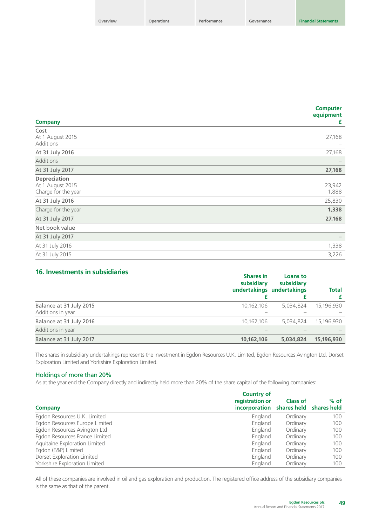| ) verview |  |
|-----------|--|
|           |  |

|                                                                | <b>Computer</b><br>equipment |
|----------------------------------------------------------------|------------------------------|
| <b>Company</b>                                                 | £                            |
| Cost<br>At 1 August 2015<br>Additions                          | 27,168                       |
| At 31 July 2016                                                | 27,168                       |
| <b>Additions</b>                                               |                              |
| At 31 July 2017                                                | 27,168                       |
| <b>Depreciation</b><br>At 1 August 2015<br>Charge for the year | 23,942<br>1,888              |
| At 31 July 2016                                                | 25,830                       |
| Charge for the year                                            | 1,338                        |
| At 31 July 2017                                                | 27,168                       |
| Net book value                                                 |                              |
| At 31 July 2017                                                |                              |
| At 31 July 2016                                                | 1,338                        |
| At 31 July 2015                                                | 3,226                        |

|  |  |  | <b>16. Investments in subsidiaries</b> |  |  |  |  |  |
|--|--|--|----------------------------------------|--|--|--|--|--|
|--|--|--|----------------------------------------|--|--|--|--|--|

| 16. Investments in subsidiaries              | <b>Shares in</b><br>subsidiary | Loans to<br>subsidiary<br>undertakings undertakings | <b>Total</b> |
|----------------------------------------------|--------------------------------|-----------------------------------------------------|--------------|
| Balance at 31 July 2015<br>Additions in year | 10,162,106                     | 5.034.824                                           | 15.196.930   |
| Balance at 31 July 2016                      | 10,162,106                     | 5,034,824                                           | 15.196.930   |
| Additions in year                            |                                |                                                     |              |
| Balance at 31 July 2017                      | 10,162,106                     | 5,034,824                                           | 15,196,930   |

The shares in subsidiary undertakings represents the investment in Egdon Resources U.K. Limited, Egdon Resources Avington Ltd, Dorset Exploration Limited and Yorkshire Exploration Limited.

#### Holdings of more than 20%

As at the year end the Company directly and indirectly held more than 20% of the share capital of the following companies:

|                                | <b>Country of</b>                     |                 |        |
|--------------------------------|---------------------------------------|-----------------|--------|
|                                | registration or                       | <b>Class of</b> | $%$ of |
| Company                        | incorporation shares held shares held |                 |        |
| Egdon Resources U.K. Limited   | England                               | Ordinary        | 100    |
| Egdon Resources Europe Limited | England                               | Ordinary        | 100    |
| Egdon Resources Avington Ltd   | England                               | Ordinary        | 100    |
| Egdon Resources France Limited | England                               | Ordinary        | 100    |
| Aquitaine Exploration Limited  | England                               | Ordinary        | 100    |
| Egdon (E&P) Limited            | England                               | Ordinary        | 100    |
| Dorset Exploration Limited     | England                               | Ordinary        | 100    |
| Yorkshire Exploration Limited  | England                               | Ordinary        | 100    |

All of these companies are involved in oil and gas exploration and production. The registered office address of the subsidiary companies is the same as that of the parent.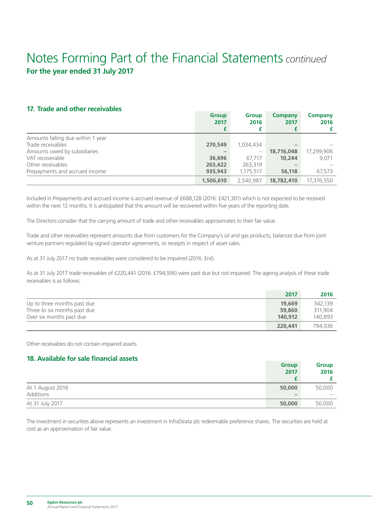### Notes Forming Part of the Financial Statements *continued* **For the year ended 31 July 2017**

#### **17. Trade and other receivables**

|                                   | <b>Group</b><br>2017 | <b>Group</b><br>2016     | Company<br>2017 | Company<br>2016 |
|-----------------------------------|----------------------|--------------------------|-----------------|-----------------|
| Amounts falling due within 1 year |                      |                          |                 |                 |
| Trade receivables                 | 270,549              | 1,034,434                |                 |                 |
| Amounts owed by subsidiaries      |                      | $\overline{\phantom{m}}$ | 18,716,048      | 17,299,906      |
| VAT recoverable                   | 36,696               | 67.717                   | 10,244          | 9,071           |
| Other receivables                 | 263,422              | 263,319                  |                 |                 |
| Prepayments and accrued income    | 935,943              | 1,175,517                | 56,118          | 67,573          |
|                                   | 1,506,610            | 2,540,987                | 18,782,410      | 17,376,550      |

Included in Prepayments and accrued income is accrued revenue of £688,128 (2016: £421,301) which is not expected to be received within the next 12 months. It is anticipated that this amount will be recovered within five years of the reporting date.

The Directors consider that the carrying amount of trade and other receivables approximates to their fair value.

Trade and other receivables represent amounts due from customers for the Company's oil and gas products, balances due from joint venture partners regulated by signed operator agreements, or receipts in respect of asset sales.

As at 31 July 2017 no trade receivables were considered to be impaired (2016: £nil).

As at 31 July 2017 trade receivables of £220,441 (2016: £794,936) were past due but not impaired. The ageing analysis of these trade receivables is as follows:

|                              | 2017    | 2016    |
|------------------------------|---------|---------|
| Up to three months past due  | 19.669  | 342.139 |
| Three to six months past due | 59,860  | 311.904 |
| Over six months past due     | 140.912 | 140.893 |
|                              | 220,441 | 794.936 |

Other receivables do not contain impaired assets.

#### **18. Available for sale financial assets**

|                  | <b>Group</b><br>2017 | <b>Group</b><br>2016 |
|------------------|----------------------|----------------------|
|                  |                      |                      |
| At 1 August 2016 | 50,000               | 50,000               |
| Additions        |                      |                      |
| At 31 July 2017  | 50,000               | 50,000               |

The investment in securities above represents an investment in InfraStrata plc redeemable preference shares. The securities are held at cost as an approximation of fair value.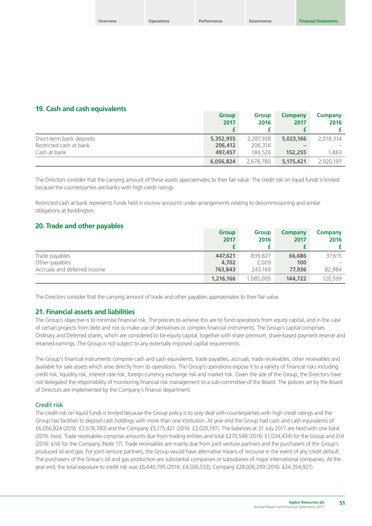#### **19. Cash and cash equivalents**

|                          | <b>Group</b><br>2017 | <b>Group</b><br>2016 | Company<br>2017 | Company<br>2016 |
|--------------------------|----------------------|----------------------|-----------------|-----------------|
| Short-term bank deposits | 5,352,955            | 2.287.938            | 5,023,166       | 2,018,314       |
| Restricted cash at bank  | 206,412              | 206.316              |                 |                 |
| Cash at bank             | 497.457              | 184.526              | 152,255         | 1.883           |
|                          | 6.056.824            | 2.678.780            | 5,175,421       | 2,020,197       |

The Directors consider that the carrying amount of these assets approximates to their fair value. The credit risk on liquid funds is limited because the counterparties are banks with high credit ratings.

Restricted cash at bank represents funds held in escrow accounts under arrangements relating to decommissioning and similar obligations at Keddington.

#### **20. Trade and other payables**

|                              | <b>Group</b><br>2017 | <b>Group</b><br>2016 | Company<br>2017 | Company<br>2016 |
|------------------------------|----------------------|----------------------|-----------------|-----------------|
|                              |                      |                      |                 |                 |
| Trade payables               | 447,621              | 839.827              | 66,686          | 37,615          |
| Other payables               | 4,702                | 2,009                | 100             |                 |
| Accruals and deferred income | 763,843              | 243.169              | 77,936          | 82,984          |
|                              | 1,216,166            | 1.085.005            | 144,722         | 120,599         |

The Directors consider that the carrying amount of trade and other payables approximates to their fair value.

#### **21. Financial assets and liabilities**

The Group's objective is to minimise financial risk. The policies to achieve this are to fund operations from equity capital, and in the case of certain projects from debt and not to make use of derivatives or complex financial instruments. The Group's capital comprises Ordinary and Deferred shares, which are considered to be equity capital, together with share premium, share-based payment reserve and retained earnings. The Group is not subject to any externally imposed capital requirements.

The Group's financial instruments comprise cash and cash equivalents, trade payables, accruals, trade receivables, other receivables and available for sale assets which arise directly from its operations. The Group's operations expose it to a variety of financial risks including credit risk, liquidity risk, interest rate risk, foreign currency exchange risk and market risk. Given the size of the Group, the Directors have not delegated the responsibility of monitoring financial risk management to a sub-committee of the Board. The policies set by the Board of Directors are implemented by the Company's finance department.

#### Credit risk

The credit risk on liquid funds is limited because the Group policy is to only deal with counterparties with high credit ratings and the Group has facilities to deposit cash holdings with more than one institution. At year end the Group had cash and cash equivalents of £6,056,824 (2016: £2,678,780) and the Company £5,175,421 (2016: £2,020,197). The balances at 31 July 2017 are held with one bank (2016: two). Trade receivables comprise amounts due from trading entities and total £270,549 (2016: £1,034,434) for the Group and £nil (2016: £nil) for the Company (Note 17). Trade receivables are mainly due from joint venture partners and the purchasers of the Group's produced oil and gas. For joint venture partners, the Group would have alternative means of recourse in the event of any credit default. The purchasers of the Group's oil and gas production are substantial companies or subsidiaries of major international companies. At the year end, the total exposure to credit risk was £6,640,795 (2016: £4,026,533); Company £28,926,293 (2016: £24,354,927).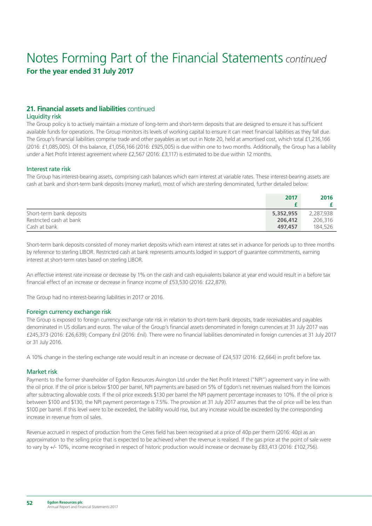### Notes Forming Part of the Financial Statements *continued* **For the year ended 31 July 2017**

#### **21. Financial assets and liabilities** continued Liquidity risk

The Group policy is to actively maintain a mixture of long-term and short-term deposits that are designed to ensure it has sufficient available funds for operations. The Group monitors its levels of working capital to ensure it can meet financial liabilities as they fall due. The Group's financial liabilities comprise trade and other payables as set out in Note 20, held at amortised cost, which total £1,216,166 (2016: £1,085,005). Of this balance, £1,056,166 (2016: £925,005) is due within one to two months. Additionally, the Group has a liability under a Net Profit Interest agreement where £2,567 (2016: £3,117) is estimated to be due within 12 months.

#### Interest rate risk

The Group has interest-bearing assets, comprising cash balances which earn interest at variable rates. These interest-bearing assets are cash at bank and short-term bank deposits (money market), most of which are sterling denominated, further detailed below:

|                          | 2017      | 2016      |
|--------------------------|-----------|-----------|
|                          |           |           |
| Short-term bank deposits | 5,352,955 | 2.287.938 |
| Restricted cash at bank  | 206,412   | 206.316   |
| Cash at bank             | 497.457   | 184.526   |

Short-term bank deposits consisted of money market deposits which earn interest at rates set in advance for periods up to three months by reference to sterling LIBOR. Restricted cash at bank represents amounts lodged in support of guarantee commitments, earning interest at short-term rates based on sterling LIBOR.

An effective interest rate increase or decrease by 1% on the cash and cash equivalents balance at year end would result in a before tax financial effect of an increase or decrease in finance income of £53,530 (2016: £22,879).

The Group had no interest-bearing liabilities in 2017 or 2016.

#### Foreign currency exchange risk

The Group is exposed to foreign currency exchange rate risk in relation to short-term bank deposits, trade receivables and payables denominated in US dollars and euros. The value of the Group's financial assets denominated in foreign currencies at 31 July 2017 was £245,373 (2016: £26,639); Company £nil (2016: £nil). There were no financial liabilities denominated in foreign currencies at 31 July 2017 or 31 July 2016.

A 10% change in the sterling exchange rate would result in an increase or decrease of £24,537 (2016: £2,664) in profit before tax.

#### Market risk

Payments to the former shareholder of Egdon Resources Avington Ltd under the Net Profit Interest ("NPI") agreement vary in line with the oil price. If the oil price is below \$100 per barrel, NPI payments are based on 5% of Egdon's net revenues realised from the licences after subtracting allowable costs. If the oil price exceeds \$130 per barrel the NPI payment percentage increases to 10%. If the oil price is between \$100 and \$130, the NPI payment percentage is 7.5%. The provision at 31 July 2017 assumes that the oil price will be less than \$100 per barrel. If this level were to be exceeded, the liability would rise, but any increase would be exceeded by the corresponding increase in revenue from oil sales.

Revenue accrued in respect of production from the Ceres field has been recognised at a price of 40p per therm (2016: 40p) as an approximation to the selling price that is expected to be achieved when the revenue is realised. If the gas price at the point of sale were to vary by +/- 10%, income recognised in respect of historic production would increase or decrease by £83,413 (2016: £102,756).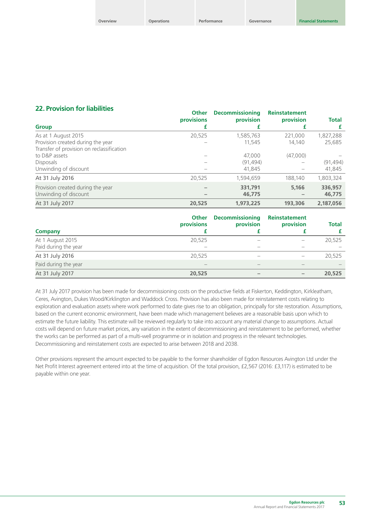#### **22. Provision for liabilities**

|                                           | <b>Other</b><br>provisions | <b>Decommissioning</b><br>provision | Reinstatement<br>provision | <b>Total</b> |
|-------------------------------------------|----------------------------|-------------------------------------|----------------------------|--------------|
| Group                                     |                            |                                     |                            |              |
| As at 1 August 2015                       | 20,525                     | 1,585,763                           | 221.000                    | 1,827,288    |
| Provision created during the year         |                            | 11.545                              | 14.140                     | 25,685       |
| Transfer of provision on reclassification |                            |                                     |                            |              |
| to D&P assets                             |                            | 47.000                              | (47,000)                   |              |
| <b>Disposals</b>                          |                            | (91, 494)                           |                            | (91, 494)    |
| Unwinding of discount                     |                            | 41,845                              |                            | 41,845       |
| At 31 July 2016                           | 20,525                     | 1,594,659                           | 188,140                    | 1,803,324    |
| Provision created during the year         |                            | 331.791                             | 5,166                      | 336,957      |
| Unwinding of discount                     |                            | 46,775                              |                            | 46,775       |
| At 31 July 2017                           | 20,525                     | 1,973,225                           | 193,306                    | 2,187,056    |

| <b>Company</b>                           | <b>Other</b><br>provisions      | <b>Decommissioning</b><br>provision | Reinstatement<br>provision | <b>Total</b> |
|------------------------------------------|---------------------------------|-------------------------------------|----------------------------|--------------|
| At 1 August 2015<br>Paid during the year | 20,525                          |                                     |                            | 20,525       |
| At 31 July 2016                          | 20,525                          |                                     |                            | 20,525       |
| Paid during the year                     | $\hspace{0.1mm}-\hspace{0.1mm}$ | $\hspace{0.1mm}-\hspace{0.1mm}$     |                            |              |
| At 31 July 2017                          | 20,525                          |                                     |                            | 20,525       |

At 31 July 2017 provision has been made for decommissioning costs on the productive fields at Fiskerton, Keddington, Kirkleatham, Ceres, Avington, Dukes Wood/Kirklington and Waddock Cross. Provision has also been made for reinstatement costs relating to exploration and evaluation assets where work performed to date gives rise to an obligation, principally for site restoration. Assumptions, based on the current economic environment, have been made which management believes are a reasonable basis upon which to estimate the future liability. This estimate will be reviewed regularly to take into account any material change to assumptions. Actual costs will depend on future market prices, any variation in the extent of decommissioning and reinstatement to be performed, whether the works can be performed as part of a multi-well programme or in isolation and progress in the relevant technologies. Decommissioning and reinstatement costs are expected to arise between 2018 and 2038.

Other provisions represent the amount expected to be payable to the former shareholder of Egdon Resources Avington Ltd under the Net Profit Interest agreement entered into at the time of acquisition. Of the total provision, £2,567 (2016: £3,117) is estimated to be payable within one year.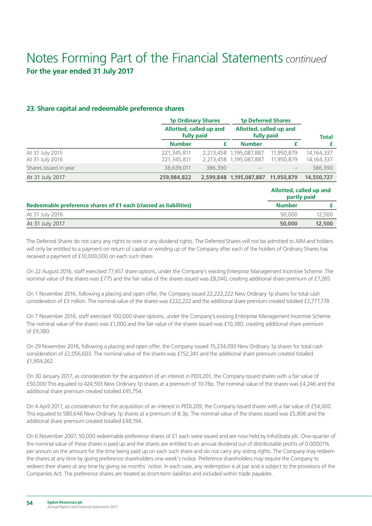### Notes Forming Part of the Financial Statements *continued* **For the year ended 31 July 2017**

#### **23. Share capital and redeemable preference shares**

|                                           | <b>1p Ordinary Shares</b>                                                                                         |         | <b>1p Deferred Shares</b>                          |                                        |                          |
|-------------------------------------------|-------------------------------------------------------------------------------------------------------------------|---------|----------------------------------------------------|----------------------------------------|--------------------------|
|                                           | Allotted, called up and<br>fully paid                                                                             |         | Allotted, called up and<br>fully paid              |                                        | <b>Total</b>             |
|                                           | <b>Number</b>                                                                                                     | £       | <b>Number</b>                                      |                                        |                          |
| At 31 July 2015<br>At 31 July 2016        | 221,345,811<br>221,345,811                                                                                        |         | 2,213,458 1,195,087,887<br>2,213,458 1,195,087,887 | 11,950,879<br>11,950,879               | 14,164,337<br>14,164,337 |
| Shares issued in year                     | 38,639,011                                                                                                        | 386,390 |                                                    |                                        | 386,390                  |
| At 31 July 2017                           | 259,984,822                                                                                                       |         | 2,599,848 1,195,087,887                            | 11,950,879                             | 14,550,727               |
| <b>Service Contract Contract Contract</b> | $\mathcal{L}$ , and $\mathcal{L}$ , and $\mathcal{L}$ , and $\mathcal{L}$ , and $\mathcal{L}$ , and $\mathcal{L}$ |         |                                                    | Allotted, called up and<br>partly paid |                          |

| Redeemable preference shares of £1 each (classed as liabilities) |        |        |
|------------------------------------------------------------------|--------|--------|
| At 31 July 2016                                                  | 50.000 | 12.500 |
| At 31 July 2017                                                  | 50.000 | 12.500 |

The Deferred Shares do not carry any rights to vote or any dividend rights. The Deferred Shares will not be admitted to AIM and holders will only be entitled to a payment on return of capital or winding up of the Company after each of the holders of Ordinary Shares has received a payment of £10,000,000 on each such share.

On 22 August 2016, staff exercised 77,457 share options, under the Company's existing Enterprise Management Incentive Scheme. The nominal value of the shares was £775 and the fair value of the shares issued was £8,040, creating additional share premium of £7,265.

On 1 November 2016, following a placing and open offer, the Company issued 22,222,222 New Ordinary 1p shares for total cash consideration of £3 million. The nominal value of the shares was £222,222 and the additional share premium created totalled £2,777,778.

On 7 November 2016, staff exercised 100,000 share options, under the Company's existing Enterprise Management Incentive Scheme. The nominal value of the shares was £1,000 and the fair value of the shares issued was £10,380, creating additional share premium of £9,380.

On 29 November 2016, following a placing and open offer, the Company issued 15,234,093 New Ordinary 1p shares for total cash consideration of £2,056,603. The nominal value of the shares was £152,341 and the additional share premium created totalled £1,904,262.

On 30 January 2017, as consideration for the acquisition of an interest in PEDL201, the Company issued shares with a fair value of £50,000 This equated to 424,593 New Ordinary 1p shares at a premium of 10.78p. The nominal value of the shares was £4,246 and the additional share premium created totalled £45,754.

On 4 April 2017, as consideration for the acquisition of an interest in PEDL209, the Company issued shares with a fair value of £54,000. This equated to 580,646 New Ordinary 1p shares at a premium of 8.3p. The nominal value of the shares issued was £5,806 and the additional share premium created totalled £48,194.

On 6 November 2007, 50,000 redeemable preference shares of £1 each were issued and are now held by InfraStrata plc. One-quarter of the nominal value of these shares is paid up and the shares are entitled to an annual dividend out of distributable profits of 0.00001% per annum on the amount for the time being paid up on each such share and do not carry any voting rights. The Company may redeem the shares at any time by giving preference shareholders one week's notice. Preference shareholders may require the Company to redeem their shares at any time by giving six months' notice. In each case, any redemption is at par and is subject to the provisions of the Companies Act. The preference shares are treated as short-term liabilities and included within trade payables.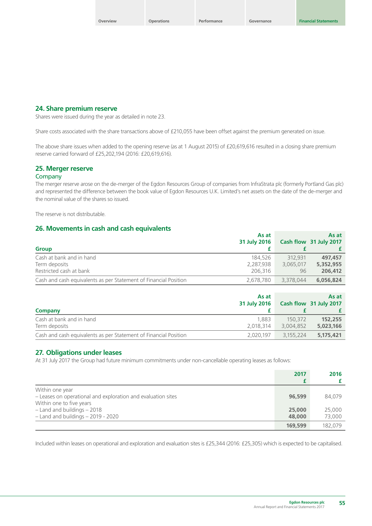#### **24. Share premium reserve**

Shares were issued during the year as detailed in note 23.

Share costs associated with the share transactions above of £210,055 have been offset against the premium generated on issue.

The above share issues when added to the opening reserve (as at 1 August 2015) of £20,619,616 resulted in a closing share premium reserve carried forward of £25,202,194 (2016: £20,619,616).

#### **25. Merger reserve**

#### Company

The merger reserve arose on the de-merger of the Egdon Resources Group of companies from InfraStrata plc (formerly Portland Gas plc) and represented the difference between the book value of Egdon Resources U.K. Limited's net assets on the date of the de-merger and the nominal value of the shares so issued.

The reserve is not distributable.

#### **26. Movements in cash and cash equivalents**

|                                                                      | As at<br>31 July 2016           |                            | As at<br>Cash flow 31 July 2017 |
|----------------------------------------------------------------------|---------------------------------|----------------------------|---------------------------------|
| <b>Group</b>                                                         |                                 |                            |                                 |
| Cash at bank and in hand<br>Term deposits<br>Restricted cash at bank | 184.526<br>2,287,938<br>206.316 | 312.931<br>3,065,017<br>96 | 497.457<br>5,352,955<br>206,412 |
| Cash and cash equivalents as per Statement of Financial Position     | 2,678,780                       | 3,378,044                  | 6,056,824                       |

| Company                                                          | As at<br>31 July 2016 |           | As at<br>Cash flow 31 July 2017 |
|------------------------------------------------------------------|-----------------------|-----------|---------------------------------|
| Cash at bank and in hand                                         | 1.883                 | 150.372   | 152,255                         |
| Term deposits                                                    | 2.018.314             | 3.004.852 | 5,023,166                       |
| Cash and cash equivalents as per Statement of Financial Position | 2.020.197             | 3.155.224 | 5.175.421                       |

#### **27. Obligations under leases**

At 31 July 2017 the Group had future minimum commitments under non-cancellable operating leases as follows:

|                                                                                                             | 2017             | 2016             |
|-------------------------------------------------------------------------------------------------------------|------------------|------------------|
| Within one year<br>- Leases on operational and exploration and evaluation sites<br>Within one to five years | 96,599           | 84,079           |
| $-$ Land and buildings $-$ 2018<br>$-$ Land and buildings $-$ 2019 - 2020                                   | 25,000<br>48,000 | 25,000<br>73,000 |
|                                                                                                             | 169,599          | 182.079          |

Included within leases on operational and exploration and evaluation sites is £25,344 (2016: £25,305) which is expected to be capitalised.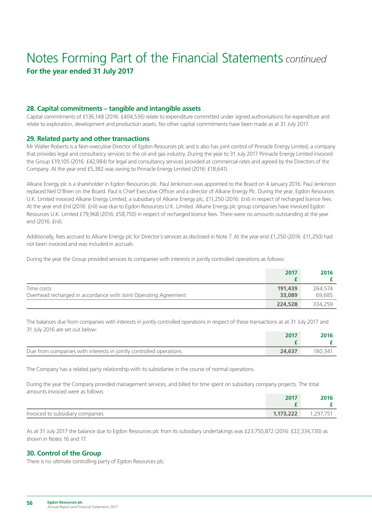### Notes Forming Part of the Financial Statements *continued* **For the year ended 31 July 2017**

#### **28. Capital commitments – tangible and intangible assets**

Capital commitments of £136,148 (2016: £404,536) relate to expenditure committed under signed authorisations for expenditure and relate to exploration, development and production assets. No other capital commitments have been made as at 31 July 2017.

#### **29. Related party and other transactions**

Mr Walter Roberts is a Non-executive Director of Egdon Resources plc and is also has joint control of Pinnacle Energy Limited, a company that provides legal and consultancy services to the oil and gas industry. During the year to 31 July 2017 Pinnacle Energy Limited invoiced the Group £19,105 (2016: £42,984) for legal and consultancy services provided at commercial rates and agreed by the Directors of the Company. At the year end £5,382 was owing to Pinnacle Energy Limited (2016: £18,641).

Alkane Energy plc is a shareholder in Egdon Resources plc. Paul Jenkinson was appointed to the Board on 4 January 2016. Paul Jenkinson replaced Neil O'Brien on the Board. Paul is Chief Executive Officer and a director of Alkane Energy Plc. During the year, Egdon Resources U.K. Limited invoiced Alkane Energy Limited, a subsidiary of Alkane Energy plc, £11,250 (2016: £nil) in respect of recharged licence fees. At the year end £nil (2016: £nil) was due to Egdon Resources U.K. Limited. Alkane Energy plc group companies have invoiced Egdon Resources U.K. Limited £79,968 (2016: £58,750) in respect of recharged licence fees. There were no amounts outstanding at the year end (2016: £nil).

Additionally, fees accrued to Alkane Energy plc for Director's services as disclosed in Note 7. At the year end £1,250 (2016: £11,250) had not been invoiced and was included in accruals.

During the year the Group provided services to companies with interests in jointly controlled operations as follows:

|                                                                               | 2017              | 2016              |
|-------------------------------------------------------------------------------|-------------------|-------------------|
| Time costs<br>Overhead recharged in accordance with Joint Operating Agreement | 191,439<br>33,089 | 264,574<br>69,685 |
|                                                                               | 224,528           | 334.259           |

The balances due from companies with interests in jointly controlled operations in respect of these transactions as at 31 July 2017 and 31 July 2016 are set out below:

|                                                                    | 2017   | 2016    |
|--------------------------------------------------------------------|--------|---------|
|                                                                    |        |         |
| Due from companies with interests in jointly controlled operations | 24,637 | 180.341 |

The Company has a related party relationship with its subsidiaries in the course of normal operations.

During the year the Company provided management services, and billed for time spent on subsidiary company projects. The total amounts invoiced were as follows:

|                                  |           | 2016                  |
|----------------------------------|-----------|-----------------------|
|                                  |           |                       |
| Invoiced to subsidiary companies | 1,173,222 | 1,297,75 <sup>.</sup> |

As at 31 July 2017 the balance due to Egdon Resources plc from its subsidiary undertakings was £23,750,872 (2016: £22,334,730) as shown in Notes 16 and 17.

#### **30. Control of the Group**

There is no ultimate controlling party of Egdon Resources plc.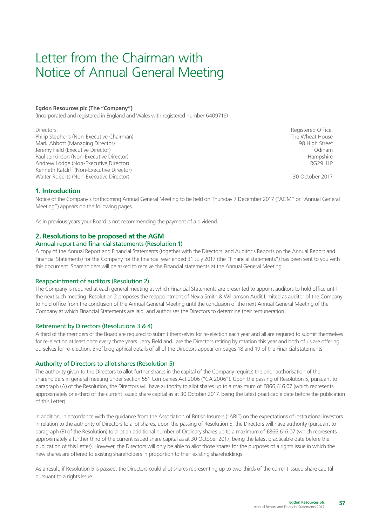### Letter from the Chairman with Notice of Annual General Meeting

#### **Egdon Resources plc (The "Company")**

(Incorporated and registered in England and Wales with registered number 6409716)

Philip Stephens (Non-Executive Chairman) The Wheat House 3.2 (1999) The Wheat House 3.2 (1999) The Wheat House Mark Abbott (Managing Director) 98 High Street Jeremy Field (Executive Director) Paul Jenkinson (Non-Executive Director)<br>
Andrew Lodge (Non-Executive Director)<br>
Andrew Lodge (Non-Executive Director) Andrew Lodge (Non-Executive Director) Kenneth Ratcliff (Non-Executive Director) Walter Roberts (Non-Executive Director) 30 October 2017

Directors: Registered Office:

#### **1. Introduction**

Notice of the Company's forthcoming Annual General Meeting to be held on Thursday 7 December 2017 ("AGM" or "Annual General Meeting") appears on the following pages.

As in previous years your Board is not recommending the payment of a dividend.

#### **2. Resolutions to be proposed at the AGM**

#### Annual report and financial statements (Resolution 1)

A copy of the Annual Report and Financial Statements (together with the Directors' and Auditor's Reports on the Annual Report and Financial Statements) for the Company for the financial year ended 31 July 2017 (the "Financial statements") has been sent to you with this document. Shareholders will be asked to receive the Financial statements at the Annual General Meeting.

#### Reappointment of auditors (Resolution 2)

The Company is required at each general meeting at which Financial Statements are presented to appoint auditors to hold office until the next such meeting. Resolution 2 proposes the reappointment of Nexia Smith & Williamson Audit Limited as auditor of the Company to hold office from the conclusion of the Annual General Meeting until the conclusion of the next Annual General Meeting of the Company at which Financial Statements are laid, and authorises the Directors to determine their remuneration.

#### Retirement by Directors (Resolutions 3 & 4)

A third of the members of the Board are required to submit themselves for re-election each year and all are required to submit themselves for re-election at least once every three years. Jerry Field and I are the Directors retiring by rotation this year and both of us are offering ourselves for re-election. Brief biographical details of all of the Directors appear on pages 18 and 19 of the Financial statements.

#### Authority of Directors to allot shares (Resolution 5)

The authority given to the Directors to allot further shares in the capital of the Company requires the prior authorisation of the shareholders in general meeting under section 551 Companies Act 2006 ("CA 2006"). Upon the passing of Resolution 5, pursuant to paragraph (A) of the Resolution, the Directors will have authority to allot shares up to a maximum of £866,616.07 (which represents approximately one-third of the current issued share capital as at 30 October 2017, being the latest practicable date before the publication of this Letter).

In addition, in accordance with the guidance from the Association of British Insurers ("ABI") on the expectations of institutional investors in relation to the authority of Directors to allot shares, upon the passing of Resolution 5, the Directors will have authority (pursuant to paragraph (B) of the Resolution) to allot an additional number of Ordinary shares up to a maximum of £866,616.07 (which represents approximately a further third of the current issued share capital as at 30 October 2017, being the latest practicable date before the publication of this Letter). However, the Directors will only be able to allot those shares for the purposes of a rights issue in which the new shares are offered to existing shareholders in proportion to their existing shareholdings.

As a result, if Resolution 5 is passed, the Directors could allot shares representing up to two-thirds of the current issued share capital pursuant to a rights issue.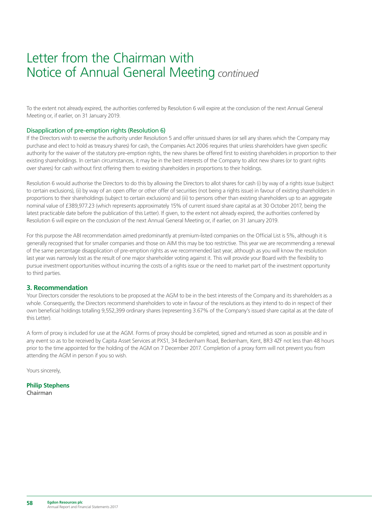### Letter from the Chairman with Notice of Annual General Meeting *continued*

To the extent not already expired, the authorities conferred by Resolution 6 will expire at the conclusion of the next Annual General Meeting or, if earlier, on 31 January 2019.

#### Disapplication of pre-emption rights (Resolution 6)

If the Directors wish to exercise the authority under Resolution 5 and offer unissued shares (or sell any shares which the Company may purchase and elect to hold as treasury shares) for cash, the Companies Act 2006 requires that unless shareholders have given specific authority for the waiver of the statutory pre-emption rights, the new shares be offered first to existing shareholders in proportion to their existing shareholdings. In certain circumstances, it may be in the best interests of the Company to allot new shares (or to grant rights over shares) for cash without first offering them to existing shareholders in proportions to their holdings.

Resolution 6 would authorise the Directors to do this by allowing the Directors to allot shares for cash (i) by way of a rights issue (subject to certain exclusions), (ii) by way of an open offer or other offer of securities (not being a rights issue) in favour of existing shareholders in proportions to their shareholdings (subject to certain exclusions) and (iii) to persons other than existing shareholders up to an aggregate nominal value of £389,977.23 (which represents approximately 15% of current issued share capital as at 30 October 2017, being the latest practicable date before the publication of this Letter). If given, to the extent not already expired, the authorities conferred by Resolution 6 will expire on the conclusion of the next Annual General Meeting or, if earlier, on 31 January 2019.

For this purpose the ABI recommendation aimed predominantly at premium-listed companies on the Official List is 5%, although it is generally recognised that for smaller companies and those on AIM this may be too restrictive. This year we are recommending a renewal of the same percentage disapplication of pre-emption rights as we recommended last year, although as you will know the resolution last year was narrowly lost as the result of one major shareholder voting against it. This will provide your Board with the flexibility to pursue investment opportunities without incurring the costs of a rights issue or the need to market part of the investment opportunity to third parties.

#### **3. Recommendation**

Your Directors consider the resolutions to be proposed at the AGM to be in the best interests of the Company and its shareholders as a whole. Consequently, the Directors recommend shareholders to vote in favour of the resolutions as they intend to do in respect of their own beneficial holdings totalling 9,552,399 ordinary shares (representing 3.67% of the Company's issued share capital as at the date of this Letter).

A form of proxy is included for use at the AGM. Forms of proxy should be completed, signed and returned as soon as possible and in any event so as to be received by Capita Asset Services at PXS1, 34 Beckenham Road, Beckenham, Kent, BR3 4ZF not less than 48 hours prior to the time appointed for the holding of the AGM on 7 December 2017. Completion of a proxy form will not prevent you from attending the AGM in person if you so wish.

Yours sincerely,

#### **Philip Stephens** Chairman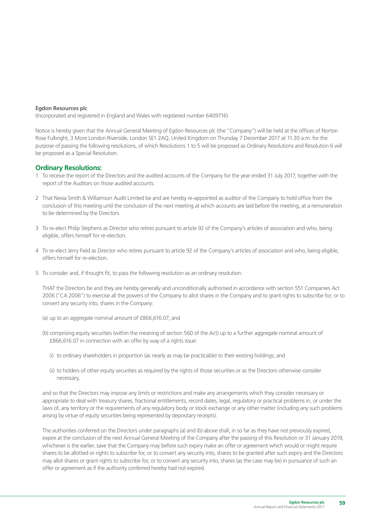#### **Egdon Resources plc**

(Incorporated and registered in England and Wales with registered number 6409716)

Notice is hereby given that the Annual General Meeting of Egdon Resources plc (the "Company") will be held at the offices of Norton Rose Fulbright, 3 More London Riverside, London SE1 2AQ, United Kingdom on Thursday 7 December 2017 at 11.30 a.m. for the purpose of passing the following resolutions, of which Resolutions 1 to 5 will be proposed as Ordinary Resolutions and Resolution 6 will be proposed as a Special Resolution:

#### **Ordinary Resolutions:**

- 1 To receive the report of the Directors and the audited accounts of the Company for the year ended 31 July 2017, together with the report of the Auditors on those audited accounts.
- 2 That Nexia Smith & Williamson Audit Limited be and are hereby re-appointed as auditor of the Company to hold office from the conclusion of this meeting until the conclusion of the next meeting at which accounts are laid before the meeting, at a remuneration to be determined by the Directors.
- 3 To re-elect Philip Stephens as Director who retires pursuant to article 92 of the Company's articles of association and who, being eligible, offers himself for re-election.
- 4 To re-elect Jerry Field as Director who retires pursuant to article 92 of the Company's articles of association and who, being eligible, offers himself for re-election.
- 5 To consider and, if thought fit, to pass the following resolution as an ordinary resolution:

THAT the Directors be and they are hereby generally and unconditionally authorised in accordance with section 551 Companies Act 2006 ("CA 2006") to exercise all the powers of the Company to allot shares in the Company and to grant rights to subscribe for, or to convert any security into, shares in the Company:

- (a) up to an aggregate nominal amount of £866,616.07; and
- (b) comprising equity securities (within the meaning of section 560 of the Act) up to a further aggregate nominal amount of £866,616.07 in connection with an offer by way of a rights issue:
	- (i) to ordinary shareholders in proportion (as nearly as may be practicable) to their existing holdings; and
	- (ii) to holders of other equity securities as required by the rights of those securities or as the Directors otherwise consider necessary,

and so that the Directors may impose any limits or restrictions and make any arrangements which they consider necessary or appropriate to deal with treasury shares, fractional entitlements, record dates, legal, regulatory or practical problems in, or under the laws of, any territory or the requirements of any regulatory body or stock exchange or any other matter (including any such problems arising by virtue of equity securities being represented by depositary receipts).

The authorities conferred on the Directors under paragraphs (a) and (b) above shall, in so far as they have not previously expired, expire at the conclusion of the next Annual General Meeting of the Company after the passing of this Resolution or 31 January 2019, whichever is the earlier, save that the Company may before such expiry make an offer or agreement which would or might require shares to be allotted or rights to subscribe for, or to convert any security into, shares to be granted after such expiry and the Directors may allot shares or grant rights to subscribe for, or to convert any security into, shares (as the case may be) in pursuance of such an offer or agreement as if the authority conferred hereby had not expired.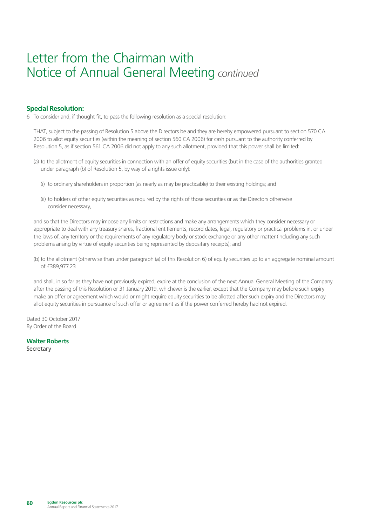### Letter from the Chairman with Notice of Annual General Meeting *continued*

#### **Special Resolution:**

6 To consider and, if thought fit, to pass the following resolution as a special resolution:

THAT, subject to the passing of Resolution 5 above the Directors be and they are hereby empowered pursuant to section 570 CA 2006 to allot equity securities (within the meaning of section 560 CA 2006) for cash pursuant to the authority conferred by Resolution 5, as if section 561 CA 2006 did not apply to any such allotment, provided that this power shall be limited:

- (a) to the allotment of equity securities in connection with an offer of equity securities (but in the case of the authorities granted under paragraph (b) of Resolution 5, by way of a rights issue only):
	- (i) to ordinary shareholders in proportion (as nearly as may be practicable) to their existing holdings; and
	- (ii) to holders of other equity securities as required by the rights of those securities or as the Directors otherwise consider necessary,

and so that the Directors may impose any limits or restrictions and make any arrangements which they consider necessary or appropriate to deal with any treasury shares, fractional entitlements, record dates, legal, regulatory or practical problems in, or under the laws of, any territory or the requirements of any regulatory body or stock exchange or any other matter (including any such problems arising by virtue of equity securities being represented by depositary receipts); and

(b) to the allotment (otherwise than under paragraph (a) of this Resolution 6) of equity securities up to an aggregate nominal amount of £389,977.23

and shall, in so far as they have not previously expired, expire at the conclusion of the next Annual General Meeting of the Company after the passing of this Resolution or 31 January 2019, whichever is the earlier, except that the Company may before such expiry make an offer or agreement which would or might require equity securities to be allotted after such expiry and the Directors may allot equity securities in pursuance of such offer or agreement as if the power conferred hereby had not expired.

Dated 30 October 2017 By Order of the Board

**Walter Roberts** Secretary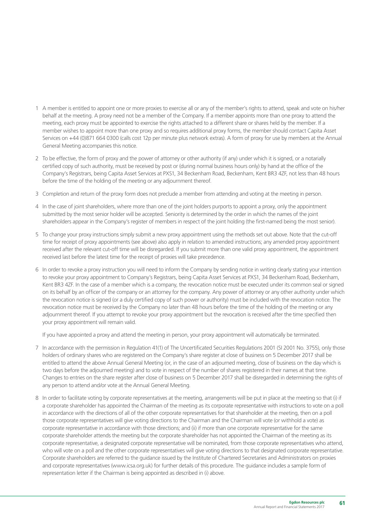- 1 A member is entitled to appoint one or more proxies to exercise all or any of the member's rights to attend, speak and vote on his/her behalf at the meeting. A proxy need not be a member of the Company. If a member appoints more than one proxy to attend the meeting, each proxy must be appointed to exercise the rights attached to a different share or shares held by the member. If a member wishes to appoint more than one proxy and so requires additional proxy forms, the member should contact Capita Asset Services on +44 (0)871 664 0300 (calls cost 12p per minute plus network extras). A form of proxy for use by members at the Annual General Meeting accompanies this notice.
- 2 To be effective, the form of proxy and the power of attorney or other authority (if any) under which it is signed, or a notarially certified copy of such authority, must be received by post or (during normal business hours only) by hand at the office of the Company's Registrars, being Capita Asset Services at PXS1, 34 Beckenham Road, Beckenham, Kent BR3 4ZF, not less than 48 hours before the time of the holding of the meeting or any adjournment thereof.
- 3 Completion and return of the proxy form does not preclude a member from attending and voting at the meeting in person.
- 4 In the case of joint shareholders, where more than one of the joint holders purports to appoint a proxy, only the appointment submitted by the most senior holder will be accepted. Seniority is determined by the order in which the names of the joint shareholders appear in the Company's register of members in respect of the joint holding (the first-named being the most senior).
- 5 To change your proxy instructions simply submit a new proxy appointment using the methods set out above. Note that the cut-off time for receipt of proxy appointments (see above) also apply in relation to amended instructions; any amended proxy appointment received after the relevant cut-off time will be disregarded. If you submit more than one valid proxy appointment, the appointment received last before the latest time for the receipt of proxies will take precedence.
- 6 In order to revoke a proxy instruction you will need to inform the Company by sending notice in writing clearly stating your intention to revoke your proxy appointment to Company's Registrars, being Capita Asset Services at PXS1, 34 Beckenham Road, Beckenham, Kent BR3 4ZF. In the case of a member which is a company, the revocation notice must be executed under its common seal or signed on its behalf by an officer of the company or an attorney for the company. Any power of attorney or any other authority under which the revocation notice is signed (or a duly certified copy of such power or authority) must be included with the revocation notice. The revocation notice must be received by the Company no later than 48 hours before the time of the holding of the meeting or any adjournment thereof. If you attempt to revoke your proxy appointment but the revocation is received after the time specified then your proxy appointment will remain valid.

If you have appointed a proxy and attend the meeting in person, your proxy appointment will automatically be terminated.

- 7 In accordance with the permission in Regulation 41(1) of The Uncertificated Securities Regulations 2001 (SI 2001 No. 3755), only those holders of ordinary shares who are registered on the Company's share register at close of business on 5 December 2017 shall be entitled to attend the above Annual General Meeting (or, in the case of an adjourned meeting, close of business on the day which is two days before the adjourned meeting) and to vote in respect of the number of shares registered in their names at that time. Changes to entries on the share register after close of business on 5 December 2017 shall be disregarded in determining the rights of any person to attend and/or vote at the Annual General Meeting.
- 8 In order to facilitate voting by corporate representatives at the meeting, arrangements will be put in place at the meeting so that (i) if a corporate shareholder has appointed the Chairman of the meeting as its corporate representative with instructions to vote on a poll in accordance with the directions of all of the other corporate representatives for that shareholder at the meeting, then on a poll those corporate representatives will give voting directions to the Chairman and the Chairman will vote (or withhold a vote) as corporate representative in accordance with those directions; and (ii) if more than one corporate representative for the same corporate shareholder attends the meeting but the corporate shareholder has not appointed the Chairman of the meeting as its corporate representative, a designated corporate representative will be nominated, from those corporate representatives who attend, who will vote on a poll and the other corporate representatives will give voting directions to that designated corporate representative. Corporate shareholders are referred to the guidance issued by the Institute of Chartered Secretaries and Administrators on proxies and corporate representatives (www.icsa.org.uk) for further details of this procedure. The guidance includes a sample form of representation letter if the Chairman is being appointed as described in (i) above.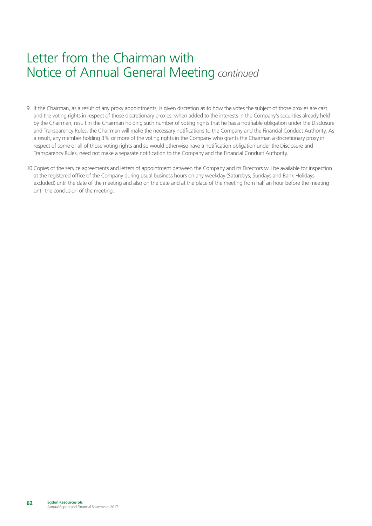### Letter from the Chairman with Notice of Annual General Meeting *continued*

- 9 If the Chairman, as a result of any proxy appointments, is given discretion as to how the votes the subject of those proxies are cast and the voting rights in respect of those discretionary proxies, when added to the interests in the Company's securities already held by the Chairman, result in the Chairman holding such number of voting rights that he has a notifiable obligation under the Disclosure and Transparency Rules, the Chairman will make the necessary notifications to the Company and the Financial Conduct Authority. As a result, any member holding 3% or more of the voting rights in the Company who grants the Chairman a discretionary proxy in respect of some or all of those voting rights and so would otherwise have a notification obligation under the Disclosure and Transparency Rules, need not make a separate notification to the Company and the Financial Conduct Authority.
- 10 Copies of the service agreements and letters of appointment between the Company and its Directors will be available for inspection at the registered office of the Company during usual business hours on any weekday (Saturdays, Sundays and Bank Holidays excluded) until the date of the meeting and also on the date and at the place of the meeting from half an hour before the meeting until the conclusion of the meeting.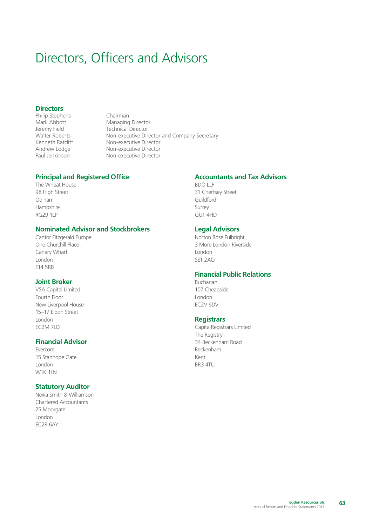## Directors, Officers and Advisors

#### **Directors**

Philip Stephens<br>
Mark Abbott Managing

Managing Director Jeremy Field Technical Director<br>
Valter Roberts<br>
Non-executive Director Walter Roberts **Non-executive Director and Company Secretary**<br>
Kenneth Ratcliff **Non-executive Director** Non-executive Director Andrew Lodge Mon-executive Director Paul Jenkinson Non-executive Director

#### **Principal and Registered Office**

The Wheat House 98 High Street Odiham Hampshire RG29 1LP

### **Nominated Advisor and Stockbrokers**

Cantor Fitzgerald Europe One Churchill Place Canary Wharf London E14 5RB

#### **Joint Broker**

VSA Capital Limited Fourth Floor New Liverpool House 15–17 Eldon Street London EC2M 7LD

#### **Financial Advisor**

Evercore 15 Stanhope Gate London W1K 1LN

#### **Statutory Auditor**

Nexia Smith & Williamson Chartered Accountants 25 Moorgate London EC2R 6AY

#### **Accountants and Tax Advisors**

BDO LLP 31 Chertsey Street Guildford Surrey GU1 4HD

#### **Legal Advisors**

Norton Rose Fulbright 3 More London Riverside London SE1 2AQ

### **Financial Public Relations**

Buchanan 107 Cheapside London EC2V 6DV

#### **Registrars**

Capita Registrars Limited The Registry 34 Beckenham Road Beckenham Kent BR3 4TU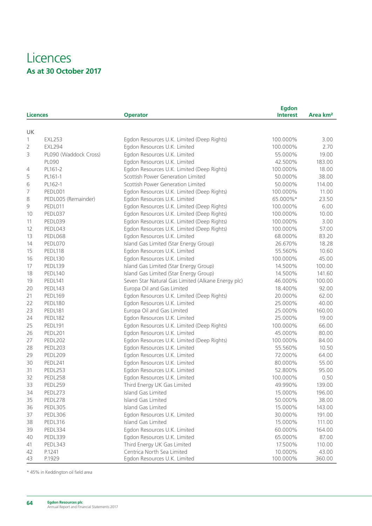### **Licences As at 30 October 2017**

| <b>Licences</b>    |                       | <b>Operator</b>                                    | <b>Egdon</b><br><b>Interest</b> | Area km <sup>2</sup> |
|--------------------|-----------------------|----------------------------------------------------|---------------------------------|----------------------|
|                    |                       |                                                    |                                 |                      |
| UK<br>$\mathbf{1}$ | <b>EXL253</b>         | Egdon Resources U.K. Limited (Deep Rights)         | 100.000%                        | 3.00                 |
| 2                  | <b>EXL294</b>         | Egdon Resources U.K. Limited                       | 100.000%                        | 2.70                 |
| 3                  | PL090 (Waddock Cross) | Egdon Resources U.K. Limited                       | 55.000%                         | 19.00                |
|                    | <b>PL090</b>          | Egdon Resources U.K. Limited                       | 42.500%                         | 183.00               |
|                    |                       |                                                    |                                 |                      |
| 4                  | PL161-2               | Egdon Resources U.K. Limited (Deep Rights)         | 100.000%                        | 18.00                |
| 5                  | PL161-1               | Scottish Power Generation Limited                  | 50.000%                         | 38.00                |
| 6                  | PL162-1               | Scottish Power Generation Limited                  | 50.000%                         | 114.00               |
| 7                  | PEDL001               | Egdon Resources U.K. Limited (Deep Rights)         | 100.000%                        | 11.00                |
| 8                  | PEDL005 (Remainder)   | Egdon Resources U.K. Limited                       | 65.000%*                        | 23.50                |
| 9                  | PEDL011               | Egdon Resources U.K. Limited (Deep Rights)         | 100.000%                        | 6.00                 |
| 10                 | PEDL037               | Egdon Resources U.K. Limited (Deep Rights)         | 100.000%                        | 10.00                |
| 11                 | PEDL039               | Egdon Resources U.K. Limited (Deep Rights)         | 100.000%                        | 3.00                 |
| 12                 | PEDL043               | Egdon Resources U.K. Limited (Deep Rights)         | 100.000%                        | 57.00                |
| 13                 | PEDL068               | Egdon Resources U.K. Limited                       | 68.000%                         | 83.20                |
| 14                 | PEDL070               | Island Gas Limited (Star Energy Group)             | 26.670%                         | 18.28                |
| 15                 | PEDL118               | Egdon Resources U.K. Limited                       | 55.560%                         | 10.60                |
| 16                 | PEDL130               | Egdon Resources U.K. Limited                       | 100.000%                        | 45.00                |
| 17                 | PEDL139               | Island Gas Limited (Star Energy Group)             | 14.500%                         | 100.00               |
| 18                 | PEDL140               | Island Gas Limited (Star Energy Group)             | 14.500%                         | 141.60               |
| 19                 | PEDL141               | Seven Star Natural Gas Limited (Alkane Energy plc) | 46.000%                         | 100.00               |
| 20                 | PEDL143               | Europa Oil and Gas Limited                         | 18.400%                         | 92.00                |
| 21                 | PEDL169               | Egdon Resources U.K. Limited (Deep Rights)         | 20.000%                         | 62.00                |
| 22                 | PEDL180               | Egdon Resources U.K. Limited                       | 25.000%                         | 40.00                |
| 23                 | PEDL181               | Europa Oil and Gas Limited                         | 25.000%                         | 160.00               |
| 24                 | PEDL182               | Egdon Resources U.K. Limited                       | 25.000%                         | 19.00                |
| 25                 | PEDL191               | Egdon Resources U.K. Limited (Deep Rights)         | 100.000%                        | 66.00                |
| 26                 | PEDL201               | Egdon Resources U.K. Limited                       | 45.000%                         | 80.00                |
| 27                 | <b>PEDL202</b>        | Egdon Resources U.K. Limited (Deep Rights)         | 100.000%                        | 84.00                |
| 28                 | PEDL203               | Egdon Resources U.K. Limited                       | 55.560%                         | 10.50                |
| 29                 | PEDL209               | Egdon Resources U.K. Limited                       | 72.000%                         | 64.00                |
| 30                 | PEDL241               | Egdon Resources U.K. Limited                       | 80.000%                         | 55.00                |
| 31                 | PEDL253               | Egdon Resources U.K. Limited                       | 52.800%                         | 95.00                |
| 32                 | PEDL258               | Egdon Resources U.K. Limited                       | 100.000%                        | 0.50                 |
| 33                 | PEDL259               | Third Energy UK Gas Limited                        | 49.990%                         | 139.00               |
| 34                 | PEDL273               | Island Gas Limited                                 |                                 |                      |
|                    |                       | Island Gas Limited                                 | 15.000%                         | 196.00               |
| 35                 | PEDL278               |                                                    | 50.000%                         | 38.00                |
| 36                 | PEDL305               | Island Gas Limited                                 | 15.000%                         | 143.00               |
| 37                 | PEDL306               | Egdon Resources U.K. Limited                       | 30.000%                         | 191.00               |
| 38                 | PEDL316               | Island Gas Limited                                 | 15.000%                         | 111.00               |
| 39                 | PEDL334               | Egdon Resources U.K. Limited                       | 60.000%                         | 164.00               |
| 40                 | PEDL339               | Egdon Resources U.K. Limited                       | 65.000%                         | 87.00                |
| 41                 | PEDL343               | Third Energy UK Gas Limited                        | 17.500%                         | 110.00               |
| 42                 | P.1241                | Centrica North Sea Limited                         | 10.000%                         | 43.00                |
| 43                 | P.1929                | Egdon Resources U.K. Limited                       | 100.000%                        | 360.00               |

\* 45% in Keddington oil field area